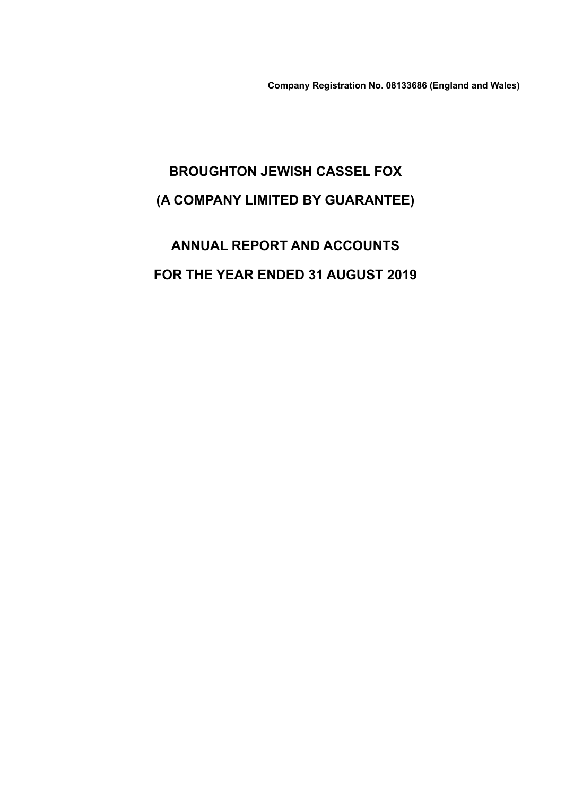**Company Registration No. 08133686 (England and Wales)**

# **BROUGHTON JEWISH CASSEL FOX (A COMPANY LIMITED BY GUARANTEE)**

**ANNUAL REPORT AND ACCOUNTS FOR THE YEAR ENDED 31 AUGUST 2019**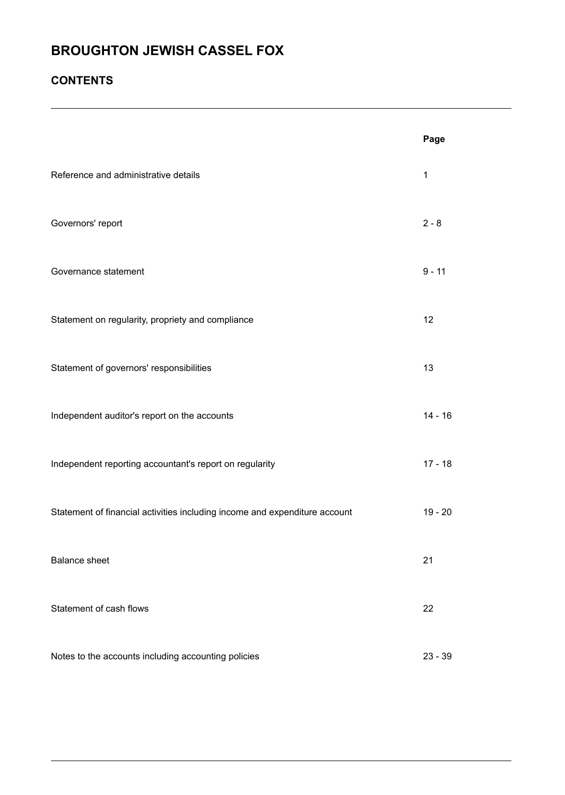## **CONTENTS**

|                                                                            | Page        |
|----------------------------------------------------------------------------|-------------|
| Reference and administrative details                                       | $\mathbf 1$ |
| Governors' report                                                          | $2 - 8$     |
| Governance statement                                                       | $9 - 11$    |
| Statement on regularity, propriety and compliance                          | 12          |
| Statement of governors' responsibilities                                   | 13          |
| Independent auditor's report on the accounts                               | $14 - 16$   |
| Independent reporting accountant's report on regularity                    | $17 - 18$   |
| Statement of financial activities including income and expenditure account | $19 - 20$   |
| <b>Balance sheet</b>                                                       | 21          |
| Statement of cash flows                                                    | 22          |
| Notes to the accounts including accounting policies                        | $23 - 39$   |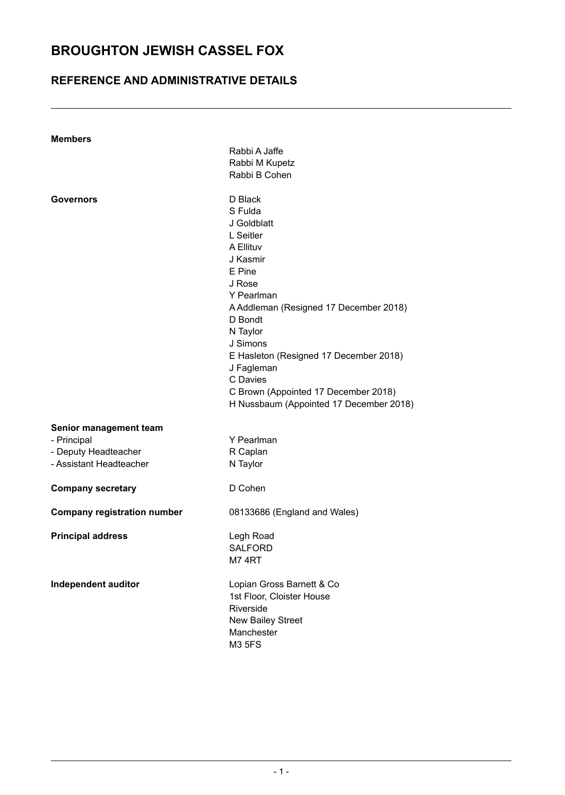## **REFERENCE AND ADMINISTRATIVE DETAILS**

| <b>Members</b>                     |                                         |
|------------------------------------|-----------------------------------------|
|                                    | Rabbi A Jaffe                           |
|                                    | Rabbi M Kupetz                          |
|                                    | Rabbi B Cohen                           |
|                                    |                                         |
| <b>Governors</b>                   | D Black                                 |
|                                    | S Fulda                                 |
|                                    | J Goldblatt                             |
|                                    | L Seitler                               |
|                                    | A Ellituv                               |
|                                    | J Kasmir                                |
|                                    |                                         |
|                                    | E Pine                                  |
|                                    | J Rose                                  |
|                                    | Y Pearlman                              |
|                                    | A Addleman (Resigned 17 December 2018)  |
|                                    | D Bondt                                 |
|                                    | N Taylor                                |
|                                    | J Simons                                |
|                                    | E Hasleton (Resigned 17 December 2018)  |
|                                    | J Fagleman                              |
|                                    | C Davies                                |
|                                    | C Brown (Appointed 17 December 2018)    |
|                                    | H Nussbaum (Appointed 17 December 2018) |
|                                    |                                         |
| Senior management team             |                                         |
| - Principal                        | Y Pearlman                              |
| - Deputy Headteacher               | R Caplan                                |
| - Assistant Headteacher            | N Taylor                                |
| <b>Company secretary</b>           | D Cohen                                 |
| <b>Company registration number</b> | 08133686 (England and Wales)            |
|                                    |                                         |
| <b>Principal address</b>           | Legh Road                               |
|                                    | <b>SALFORD</b>                          |
|                                    | M74RT                                   |
|                                    |                                         |
| Independent auditor                | Lopian Gross Barnett & Co               |
|                                    | 1st Floor, Cloister House               |
|                                    | Riverside                               |
|                                    | <b>New Bailey Street</b>                |
|                                    | Manchester                              |
|                                    | <b>M3 5FS</b>                           |
|                                    |                                         |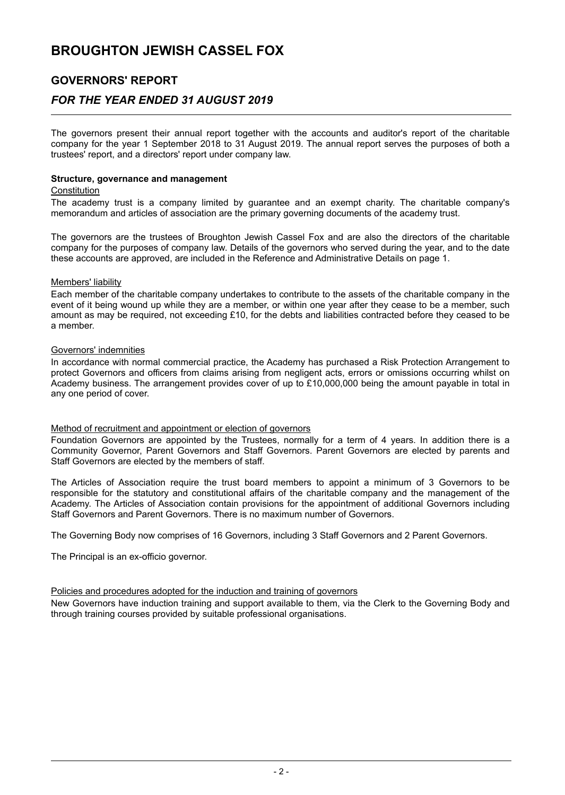## **GOVERNORS' REPORT**

## *FOR THE YEAR ENDED 31 AUGUST 2019*

The governors present their annual report together with the accounts and auditor's report of the charitable company for the year 1 September 2018 to 31 August 2019. The annual report serves the purposes of both a trustees' report, and a directors' report under company law.

#### **Structure, governance and management**

### **Constitution**

The academy trust is a company limited by guarantee and an exempt charity. The charitable company's memorandum and articles of association are the primary governing documents of the academy trust.

The governors are the trustees of Broughton Jewish Cassel Fox and are also the directors of the charitable company for the purposes of company law. Details of the governors who served during the year, and to the date these accounts are approved, are included in the Reference and Administrative Details on page 1.

### Members' liability

Each member of the charitable company undertakes to contribute to the assets of the charitable company in the event of it being wound up while they are a member, or within one year after they cease to be a member, such amount as may be required, not exceeding £10, for the debts and liabilities contracted before they ceased to be a member.

### Governors' indemnities

In accordance with normal commercial practice, the Academy has purchased a Risk Protection Arrangement to protect Governors and officers from claims arising from negligent acts, errors or omissions occurring whilst on Academy business. The arrangement provides cover of up to £10,000,000 being the amount payable in total in any one period of cover.

#### Method of recruitment and appointment or election of governors

Foundation Governors are appointed by the Trustees, normally for a term of 4 years. In addition there is a Community Governor, Parent Governors and Staff Governors. Parent Governors are elected by parents and Staff Governors are elected by the members of staff.

The Articles of Association require the trust board members to appoint a minimum of 3 Governors to be responsible for the statutory and constitutional affairs of the charitable company and the management of the Academy. The Articles of Association contain provisions for the appointment of additional Governors including Staff Governors and Parent Governors. There is no maximum number of Governors.

The Governing Body now comprises of 16 Governors, including 3 Staff Governors and 2 Parent Governors.

The Principal is an ex-officio governor.

#### Policies and procedures adopted for the induction and training of governors

New Governors have induction training and support available to them, via the Clerk to the Governing Body and through training courses provided by suitable professional organisations.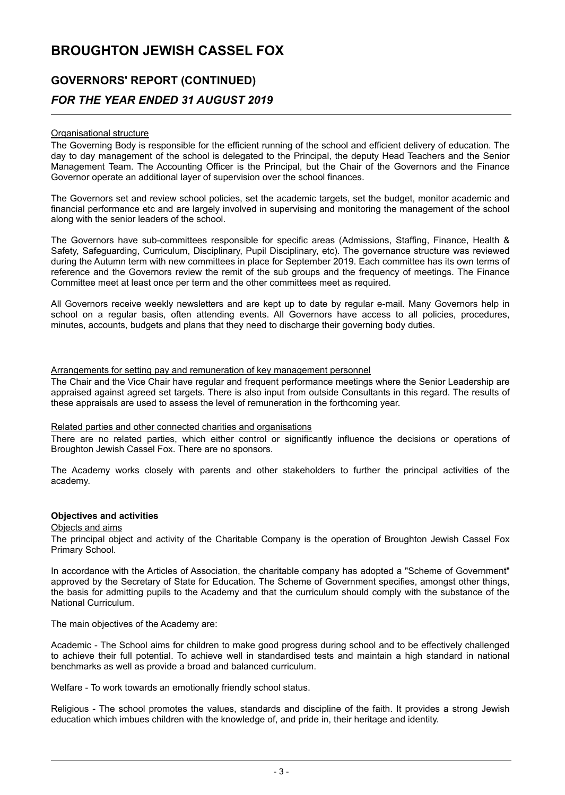# **GOVERNORS' REPORT (CONTINUED)** *FOR THE YEAR ENDED 31 AUGUST 2019*

### Organisational structure

The Governing Body is responsible for the efficient running of the school and efficient delivery of education. The day to day management of the school is delegated to the Principal, the deputy Head Teachers and the Senior Management Team. The Accounting Officer is the Principal, but the Chair of the Governors and the Finance Governor operate an additional layer of supervision over the school finances.

The Governors set and review school policies, set the academic targets, set the budget, monitor academic and financial performance etc and are largely involved in supervising and monitoring the management of the school along with the senior leaders of the school.

The Governors have sub-committees responsible for specific areas (Admissions, Staffing, Finance, Health & Safety, Safeguarding, Curriculum, Disciplinary, Pupil Disciplinary, etc). The governance structure was reviewed during the Autumn term with new committees in place for September 2019. Each committee has its own terms of reference and the Governors review the remit of the sub groups and the frequency of meetings. The Finance Committee meet at least once per term and the other committees meet as required.

All Governors receive weekly newsletters and are kept up to date by regular e-mail. Many Governors help in school on a regular basis, often attending events. All Governors have access to all policies, procedures, minutes, accounts, budgets and plans that they need to discharge their governing body duties.

#### Arrangements for setting pay and remuneration of key management personnel

The Chair and the Vice Chair have regular and frequent performance meetings where the Senior Leadership are appraised against agreed set targets. There is also input from outside Consultants in this regard. The results of these appraisals are used to assess the level of remuneration in the forthcoming year.

#### Related parties and other connected charities and organisations

There are no related parties, which either control or significantly influence the decisions or operations of Broughton Jewish Cassel Fox. There are no sponsors.

The Academy works closely with parents and other stakeholders to further the principal activities of the academy.

#### **Objectives and activities**

## Objects and aims

The principal object and activity of the Charitable Company is the operation of Broughton Jewish Cassel Fox Primary School.

In accordance with the Articles of Association, the charitable company has adopted a "Scheme of Government" approved by the Secretary of State for Education. The Scheme of Government specifies, amongst other things, the basis for admitting pupils to the Academy and that the curriculum should comply with the substance of the National Curriculum.

The main objectives of the Academy are:

Academic - The School aims for children to make good progress during school and to be effectively challenged to achieve their full potential. To achieve well in standardised tests and maintain a high standard in national benchmarks as well as provide a broad and balanced curriculum.

Welfare - To work towards an emotionally friendly school status.

Religious - The school promotes the values, standards and discipline of the faith. It provides a strong Jewish education which imbues children with the knowledge of, and pride in, their heritage and identity.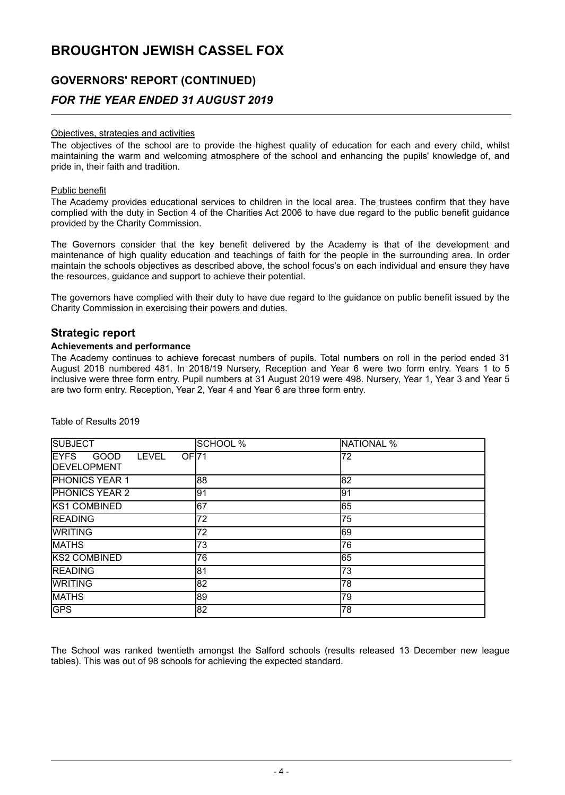## **GOVERNORS' REPORT (CONTINUED)** *FOR THE YEAR ENDED 31 AUGUST 2019*

## Objectives, strategies and activities

The objectives of the school are to provide the highest quality of education for each and every child, whilst maintaining the warm and welcoming atmosphere of the school and enhancing the pupils' knowledge of, and pride in, their faith and tradition.

#### Public benefit

The Academy provides educational services to children in the local area. The trustees confirm that they have complied with the duty in Section 4 of the Charities Act 2006 to have due regard to the public benefit guidance provided by the Charity Commission.

The Governors consider that the key benefit delivered by the Academy is that of the development and maintenance of high quality education and teachings of faith for the people in the surrounding area. In order maintain the schools objectives as described above, the school focus's on each individual and ensure they have the resources, guidance and support to achieve their potential.

The governors have complied with their duty to have due regard to the guidance on public benefit issued by the Charity Commission in exercising their powers and duties.

## **Strategic report**

## **Achievements and performance**

The Academy continues to achieve forecast numbers of pupils. Total numbers on roll in the period ended 31 August 2018 numbered 481. In 2018/19 Nursery, Reception and Year 6 were two form entry. Years 1 to 5 inclusive were three form entry. Pupil numbers at 31 August 2019 were 498. Nursery, Year 1, Year 3 and Year 5 are two form entry. Reception, Year 2, Year 4 and Year 6 are three form entry.

| <b>SUBJECT</b>                                                                  | <b>SCHOOL %</b> | <b>NATIONAL %</b> |
|---------------------------------------------------------------------------------|-----------------|-------------------|
| <b>IEYFS</b><br>OF <sub>171</sub><br>GOOD<br><b>LEVEL</b><br><b>DEVELOPMENT</b> |                 | 72                |
| <b>PHONICS YEAR 1</b>                                                           | 88              | 82                |
| <b>PHONICS YEAR 2</b>                                                           | 91              | 91                |
| <b>KS1 COMBINED</b>                                                             | 67              | 65                |
| <b>READING</b>                                                                  | 72              | 75                |
| <b>WRITING</b>                                                                  | 72              | 69                |
| <b>MATHS</b>                                                                    | 73              | 76                |
| <b>KS2 COMBINED</b>                                                             | 76              | 65                |
| <b>READING</b>                                                                  | 81              | 73                |
| <b>WRITING</b>                                                                  | 82              | 78                |
| <b>MATHS</b>                                                                    | 89              | 79                |
| <b>GPS</b>                                                                      | 82              | 78                |

Table of Results 2019

The School was ranked twentieth amongst the Salford schools (results released 13 December new league tables). This was out of 98 schools for achieving the expected standard.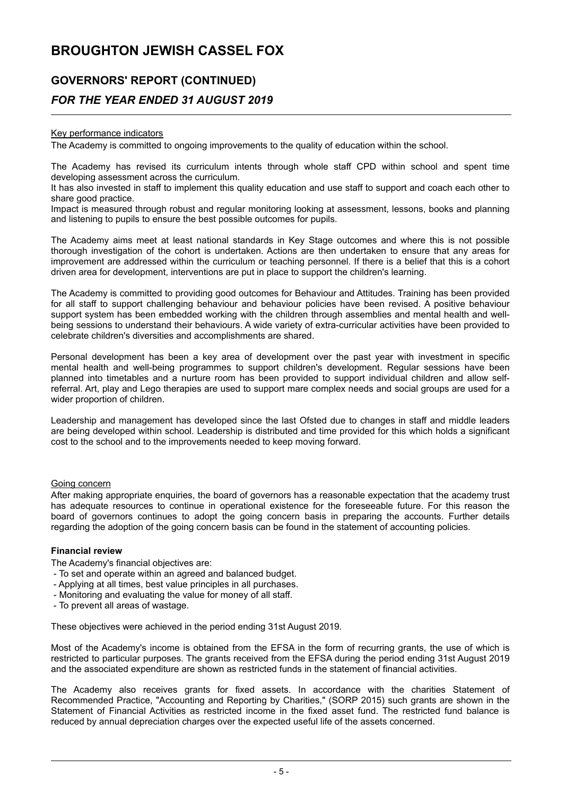## **GOVERNORS' REPORT (CONTINUED)**

## *FOR THE YEAR ENDED 31 AUGUST 2019*

## Key performance indicators

The Academy is committed to ongoing improvements to the quality of education within the school.

The Academy has revised its curriculum intents through whole staff CPD within school and spent time developing assessment across the curriculum.

It has also invested in staff to implement this quality education and use staff to support and coach each other to share good practice.

Impact is measured through robust and regular monitoring looking at assessment, lessons, books and planning and listening to pupils to ensure the best possible outcomes for pupils.

The Academy aims meet at least national standards in Key Stage outcomes and where this is not possible thorough investigation of the cohort is undertaken. Actions are then undertaken to ensure that any areas for improvement are addressed within the curriculum or teaching personnel. If there is a belief that this is a cohort driven area for development, interventions are put in place to support the children's learning.

The Academy is committed to providing good outcomes for Behaviour and Attitudes. Training has been provided for all staff to support challenging behaviour and behaviour policies have been revised. A positive behaviour support system has been embedded working with the children through assemblies and mental health and wellbeing sessions to understand their behaviours. A wide variety of extra-curricular activities have been provided to celebrate children's diversities and accomplishments are shared.

Personal development has been a key area of development over the past year with investment in specific mental health and well-being programmes to support children's development. Regular sessions have been planned into timetables and a nurture room has been provided to support individual children and allow selfreferral. Art, play and Lego therapies are used to support mare complex needs and social groups are used for a wider proportion of children.

Leadership and management has developed since the last Ofsted due to changes in staff and middle leaders are being developed within school. Leadership is distributed and time provided for this which holds a significant cost to the school and to the improvements needed to keep moving forward.

#### Going concern

After making appropriate enquiries, the board of governors has a reasonable expectation that the academy trust has adequate resources to continue in operational existence for the foreseeable future. For this reason the board of governors continues to adopt the going concern basis in preparing the accounts. Further details regarding the adoption of the going concern basis can be found in the statement of accounting policies.

#### **Financial review**

The Academy's financial objectives are:

- To set and operate within an agreed and balanced budget.
- Applying at all times, best value principles in all purchases.
- Monitoring and evaluating the value for money of all staff.
- To prevent all areas of wastage.

These objectives were achieved in the period ending 31st August 2019.

Most of the Academy's income is obtained from the EFSA in the form of recurring grants, the use of which is restricted to particular purposes. The grants received from the EFSA during the period ending 31st August 2019 and the associated expenditure are shown as restricted funds in the statement of financial activities.

The Academy also receives grants for fixed assets. In accordance with the charities Statement of Recommended Practice, "Accounting and Reporting by Charities," (SORP 2015) such grants are shown in the Statement of Financial Activities as restricted income in the fixed asset fund. The restricted fund balance is reduced by annual depreciation charges over the expected useful life of the assets concerned.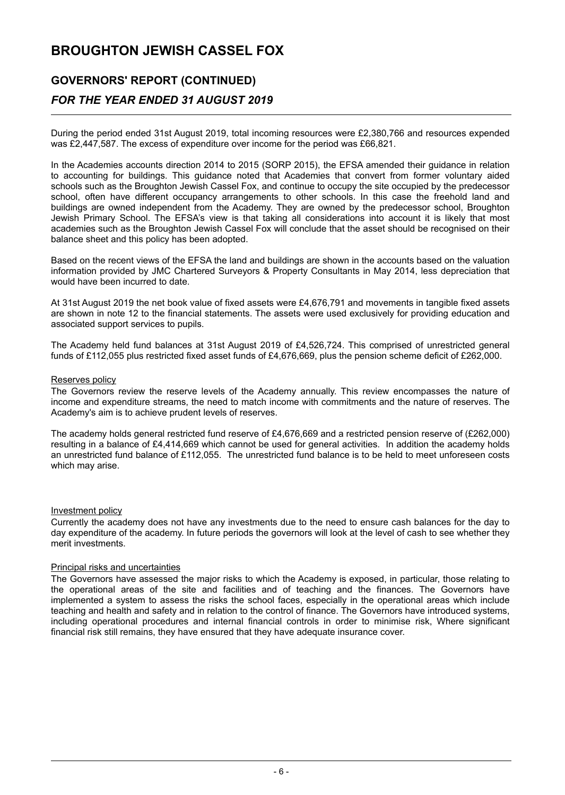# **GOVERNORS' REPORT (CONTINUED)**

## *FOR THE YEAR ENDED 31 AUGUST 2019*

During the period ended 31st August 2019, total incoming resources were £2,380,766 and resources expended was £2,447,587. The excess of expenditure over income for the period was £66,821.

In the Academies accounts direction 2014 to 2015 (SORP 2015), the EFSA amended their guidance in relation to accounting for buildings. This guidance noted that Academies that convert from former voluntary aided schools such as the Broughton Jewish Cassel Fox, and continue to occupy the site occupied by the predecessor school, often have different occupancy arrangements to other schools. In this case the freehold land and buildings are owned independent from the Academy. They are owned by the predecessor school, Broughton Jewish Primary School. The EFSA's view is that taking all considerations into account it is likely that most academies such as the Broughton Jewish Cassel Fox will conclude that the asset should be recognised on their balance sheet and this policy has been adopted.

Based on the recent views of the EFSA the land and buildings are shown in the accounts based on the valuation information provided by JMC Chartered Surveyors & Property Consultants in May 2014, less depreciation that would have been incurred to date.

At 31st August 2019 the net book value of fixed assets were £4,676,791 and movements in tangible fixed assets are shown in note 12 to the financial statements. The assets were used exclusively for providing education and associated support services to pupils.

The Academy held fund balances at 31st August 2019 of £4,526,724. This comprised of unrestricted general funds of £112,055 plus restricted fixed asset funds of £4,676,669, plus the pension scheme deficit of £262,000.

#### Reserves policy

The Governors review the reserve levels of the Academy annually. This review encompasses the nature of income and expenditure streams, the need to match income with commitments and the nature of reserves. The Academy's aim is to achieve prudent levels of reserves.

The academy holds general restricted fund reserve of £4,676,669 and a restricted pension reserve of (£262,000) resulting in a balance of £4,414,669 which cannot be used for general activities. In addition the academy holds an unrestricted fund balance of £112,055. The unrestricted fund balance is to be held to meet unforeseen costs which may arise.

#### Investment policy

Currently the academy does not have any investments due to the need to ensure cash balances for the day to day expenditure of the academy. In future periods the governors will look at the level of cash to see whether they merit investments.

### Principal risks and uncertainties

The Governors have assessed the major risks to which the Academy is exposed, in particular, those relating to the operational areas of the site and facilities and of teaching and the finances. The Governors have implemented a system to assess the risks the school faces, especially in the operational areas which include teaching and health and safety and in relation to the control of finance. The Governors have introduced systems, including operational procedures and internal financial controls in order to minimise risk, Where significant financial risk still remains, they have ensured that they have adequate insurance cover.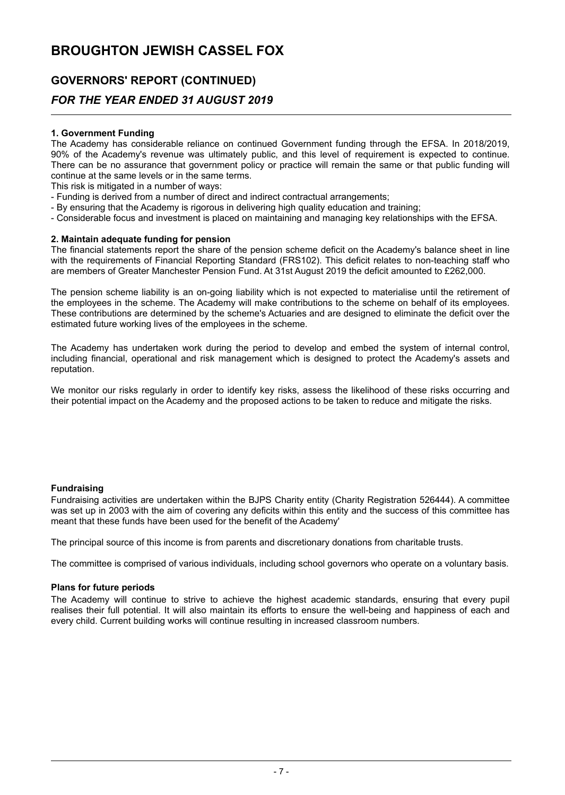# **GOVERNORS' REPORT (CONTINUED)**

## *FOR THE YEAR ENDED 31 AUGUST 2019*

## **1. Government Funding**

The Academy has considerable reliance on continued Government funding through the EFSA. In 2018/2019, 90% of the Academy's revenue was ultimately public, and this level of requirement is expected to continue. There can be no assurance that government policy or practice will remain the same or that public funding will continue at the same levels or in the same terms.

This risk is mitigated in a number of ways:

- Funding is derived from a number of direct and indirect contractual arrangements;
- By ensuring that the Academy is rigorous in delivering high quality education and training;
- Considerable focus and investment is placed on maintaining and managing key relationships with the EFSA.

## **2. Maintain adequate funding for pension**

The financial statements report the share of the pension scheme deficit on the Academy's balance sheet in line with the requirements of Financial Reporting Standard (FRS102). This deficit relates to non-teaching staff who are members of Greater Manchester Pension Fund. At 31st August 2019 the deficit amounted to £262,000.

The pension scheme liability is an on-going liability which is not expected to materialise until the retirement of the employees in the scheme. The Academy will make contributions to the scheme on behalf of its employees. These contributions are determined by the scheme's Actuaries and are designed to eliminate the deficit over the estimated future working lives of the employees in the scheme.

The Academy has undertaken work during the period to develop and embed the system of internal control, including financial, operational and risk management which is designed to protect the Academy's assets and reputation.

We monitor our risks regularly in order to identify key risks, assess the likelihood of these risks occurring and their potential impact on the Academy and the proposed actions to be taken to reduce and mitigate the risks.

## **Fundraising**

Fundraising activities are undertaken within the BJPS Charity entity (Charity Registration 526444). A committee was set up in 2003 with the aim of covering any deficits within this entity and the success of this committee has meant that these funds have been used for the benefit of the Academy'

The principal source of this income is from parents and discretionary donations from charitable trusts.

The committee is comprised of various individuals, including school governors who operate on a voluntary basis.

#### **Plans for future periods**

The Academy will continue to strive to achieve the highest academic standards, ensuring that every pupil realises their full potential. It will also maintain its efforts to ensure the well-being and happiness of each and every child. Current building works will continue resulting in increased classroom numbers.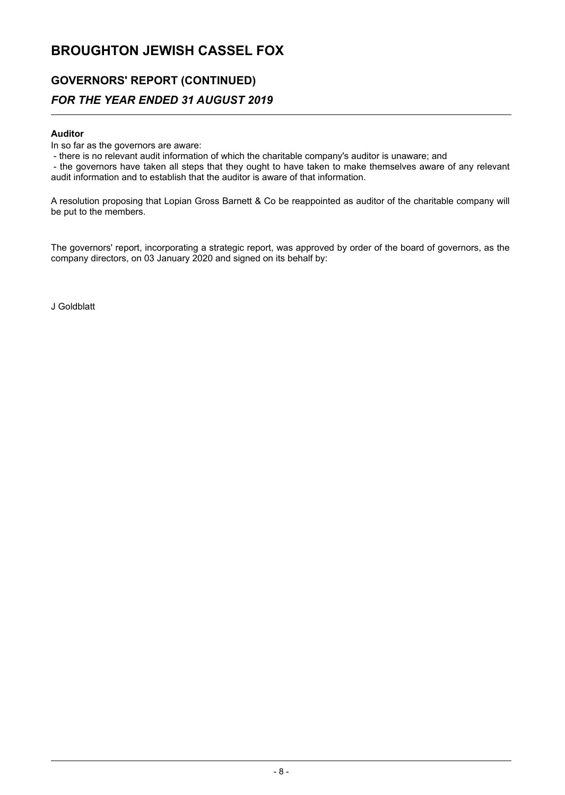## **GOVERNORS' REPORT (CONTINUED)** *FOR THE YEAR ENDED 31 AUGUST 2019*

## **Auditor**

In so far as the governors are aware:

- there is no relevant audit information of which the charitable company's auditor is unaware; and

- the governors have taken all steps that they ought to have taken to make themselves aware of any relevant audit information and to establish that the auditor is aware of that information.

A resolution proposing that Lopian Gross Barnett & Co be reappointed as auditor of the charitable company will be put to the members.

The governors' report, incorporating a strategic report, was approved by order of the board of governors, as the company directors, on 03 January 2020 and signed on its behalf by:

J Goldblatt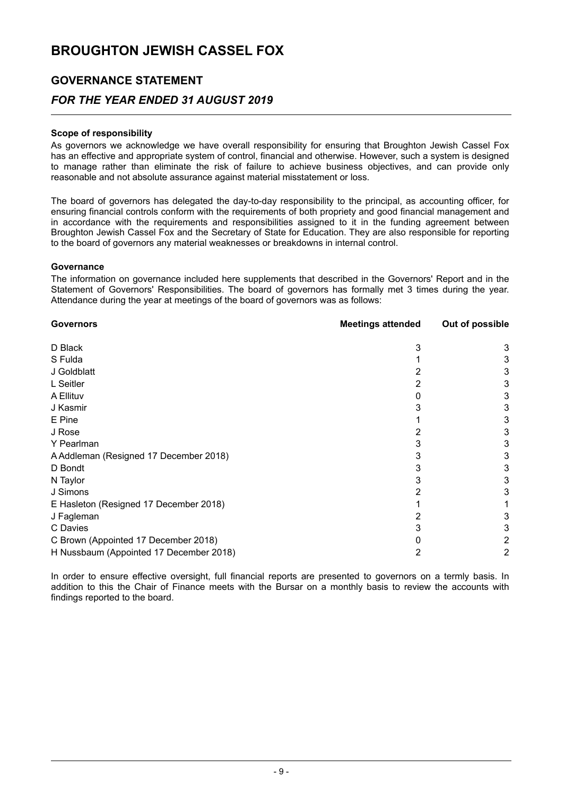## **GOVERNANCE STATEMENT**

## *FOR THE YEAR ENDED 31 AUGUST 2019*

## **Scope of responsibility**

As governors we acknowledge we have overall responsibility for ensuring that Broughton Jewish Cassel Fox has an effective and appropriate system of control, financial and otherwise. However, such a system is designed to manage rather than eliminate the risk of failure to achieve business objectives, and can provide only reasonable and not absolute assurance against material misstatement or loss.

The board of governors has delegated the day-to-day responsibility to the principal, as accounting officer, for ensuring financial controls conform with the requirements of both propriety and good financial management and in accordance with the requirements and responsibilities assigned to it in the funding agreement between Broughton Jewish Cassel Fox and the Secretary of State for Education. They are also responsible for reporting to the board of governors any material weaknesses or breakdowns in internal control.

### **Governance**

The information on governance included here supplements that described in the Governors' Report and in the Statement of Governors' Responsibilities. The board of governors has formally met 3 times during the year. Attendance during the year at meetings of the board of governors was as follows:

| <b>Governors</b>                        | <b>Meetings attended</b> | Out of possible |
|-----------------------------------------|--------------------------|-----------------|
| D Black                                 | 3                        | 3               |
| S Fulda                                 |                          | 3               |
| J Goldblatt                             |                          | 3               |
| L Seitler                               |                          | 3               |
| A Ellituv                               |                          | 3               |
| J Kasmir                                |                          | 3               |
| E Pine                                  |                          | 3               |
| J Rose                                  |                          | 3               |
| Y Pearlman                              |                          | 3               |
| A Addleman (Resigned 17 December 2018)  |                          | 3               |
| D Bondt                                 |                          | 3               |
| N Taylor                                |                          | 3               |
| J Simons                                |                          | 3               |
| E Hasleton (Resigned 17 December 2018)  |                          |                 |
| J Fagleman                              |                          | 3               |
| C Davies                                |                          | 3               |
| C Brown (Appointed 17 December 2018)    |                          | 2               |
| H Nussbaum (Appointed 17 December 2018) | 2                        | 2               |

In order to ensure effective oversight, full financial reports are presented to governors on a termly basis. In addition to this the Chair of Finance meets with the Bursar on a monthly basis to review the accounts with findings reported to the board.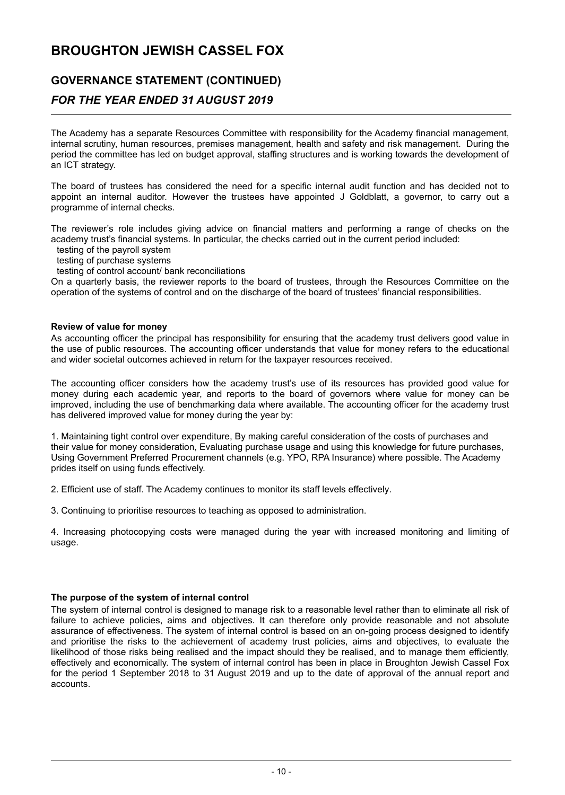# **GOVERNANCE STATEMENT (CONTINUED)**

## *FOR THE YEAR ENDED 31 AUGUST 2019*

The Academy has a separate Resources Committee with responsibility for the Academy financial management, internal scrutiny, human resources, premises management, health and safety and risk management. During the period the committee has led on budget approval, staffing structures and is working towards the development of an ICT strategy.

The board of trustees has considered the need for a specific internal audit function and has decided not to appoint an internal auditor. However the trustees have appointed J Goldblatt, a governor, to carry out a programme of internal checks.

The reviewer's role includes giving advice on financial matters and performing a range of checks on the academy trust's financial systems. In particular, the checks carried out in the current period included:

testing of the payroll system

testing of purchase systems

testing of control account/ bank reconciliations

On a quarterly basis, the reviewer reports to the board of trustees, through the Resources Committee on the operation of the systems of control and on the discharge of the board of trustees' financial responsibilities.

### **Review of value for money**

As accounting officer the principal has responsibility for ensuring that the academy trust delivers good value in the use of public resources. The accounting officer understands that value for money refers to the educational and wider societal outcomes achieved in return for the taxpayer resources received.

The accounting officer considers how the academy trust's use of its resources has provided good value for money during each academic year, and reports to the board of governors where value for money can be improved, including the use of benchmarking data where available. The accounting officer for the academy trust has delivered improved value for money during the year by:

1. Maintaining tight control over expenditure, By making careful consideration of the costs of purchases and their value for money consideration, Evaluating purchase usage and using this knowledge for future purchases, Using Government Preferred Procurement channels (e.g. YPO, RPA Insurance) where possible. The Academy prides itself on using funds effectively.

2. Efficient use of staff. The Academy continues to monitor its staff levels effectively.

3. Continuing to prioritise resources to teaching as opposed to administration.

4. Increasing photocopying costs were managed during the year with increased monitoring and limiting of usage.

## **The purpose of the system of internal control**

The system of internal control is designed to manage risk to a reasonable level rather than to eliminate all risk of failure to achieve policies, aims and objectives. It can therefore only provide reasonable and not absolute assurance of effectiveness. The system of internal control is based on an on-going process designed to identify and prioritise the risks to the achievement of academy trust policies, aims and objectives, to evaluate the likelihood of those risks being realised and the impact should they be realised, and to manage them efficiently, effectively and economically. The system of internal control has been in place in Broughton Jewish Cassel Fox for the period 1 September 2018 to 31 August 2019 and up to the date of approval of the annual report and accounts.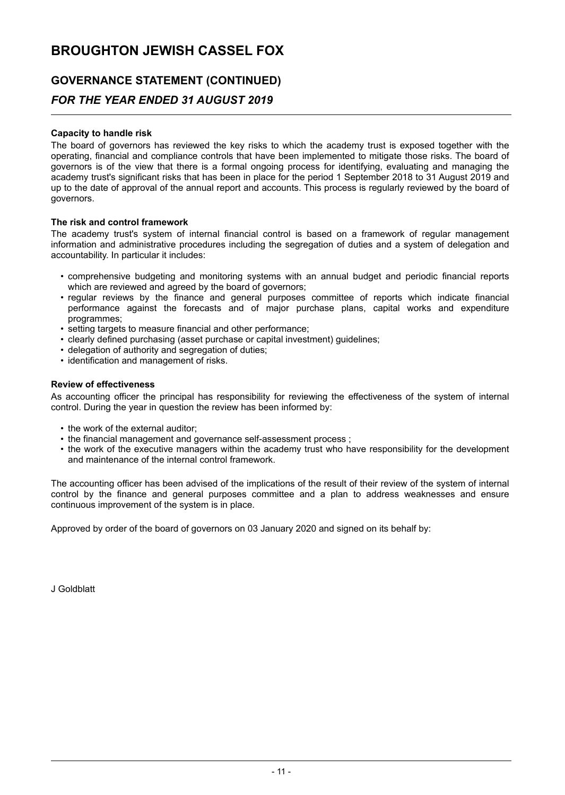# **GOVERNANCE STATEMENT (CONTINUED)**

## *FOR THE YEAR ENDED 31 AUGUST 2019*

## **Capacity to handle risk**

The board of governors has reviewed the key risks to which the academy trust is exposed together with the operating, financial and compliance controls that have been implemented to mitigate those risks. The board of governors is of the view that there is a formal ongoing process for identifying, evaluating and managing the academy trust's significant risks that has been in place for the period 1 September 2018 to 31 August 2019 and up to the date of approval of the annual report and accounts. This process is regularly reviewed by the board of governors.

## **The risk and control framework**

The academy trust's system of internal financial control is based on a framework of regular management information and administrative procedures including the segregation of duties and a system of delegation and accountability. In particular it includes:

- comprehensive budgeting and monitoring systems with an annual budget and periodic financial reports which are reviewed and agreed by the board of governors;
- regular reviews by the finance and general purposes committee of reports which indicate financial performance against the forecasts and of major purchase plans, capital works and expenditure programmes;
- setting targets to measure financial and other performance:
- clearly defined purchasing (asset purchase or capital investment) guidelines;
- delegation of authority and segregation of duties;
- identification and management of risks.

### **Review of effectiveness**

As accounting officer the principal has responsibility for reviewing the effectiveness of the system of internal control. During the year in question the review has been informed by:

- the work of the external auditor;
- the financial management and governance self-assessment process ;
- the work of the executive managers within the academy trust who have responsibility for the development and maintenance of the internal control framework.

The accounting officer has been advised of the implications of the result of their review of the system of internal control by the finance and general purposes committee and a plan to address weaknesses and ensure continuous improvement of the system is in place.

Approved by order of the board of governors on 03 January 2020 and signed on its behalf by:

J Goldblatt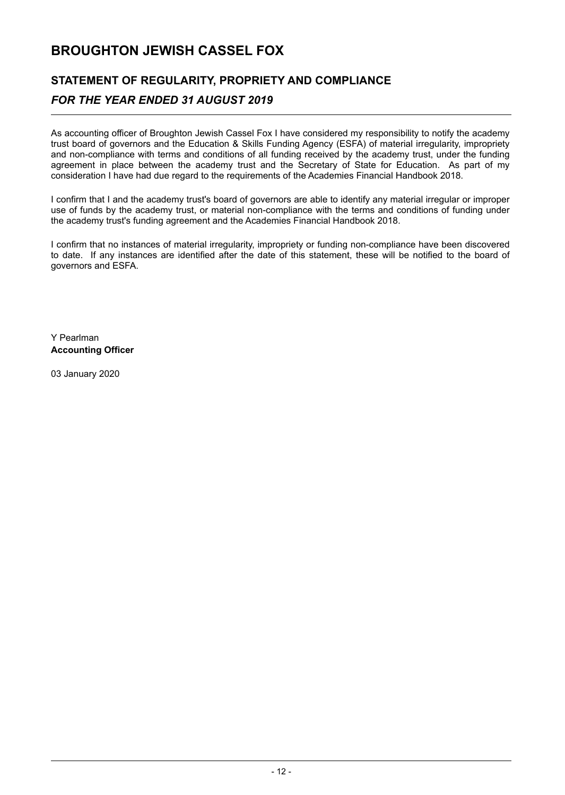# **STATEMENT OF REGULARITY, PROPRIETY AND COMPLIANCE**

## *FOR THE YEAR ENDED 31 AUGUST 2019*

As accounting officer of Broughton Jewish Cassel Fox I have considered my responsibility to notify the academy trust board of governors and the Education & Skills Funding Agency (ESFA) of material irregularity, impropriety and non-compliance with terms and conditions of all funding received by the academy trust, under the funding agreement in place between the academy trust and the Secretary of State for Education. As part of my consideration I have had due regard to the requirements of the Academies Financial Handbook 2018.

I confirm that I and the academy trust's board of governors are able to identify any material irregular or improper use of funds by the academy trust, or material non-compliance with the terms and conditions of funding under the academy trust's funding agreement and the Academies Financial Handbook 2018.

I confirm that no instances of material irregularity, impropriety or funding non-compliance have been discovered to date. If any instances are identified after the date of this statement, these will be notified to the board of governors and ESFA.

Y Pearlman **Accounting Officer**

03 January 2020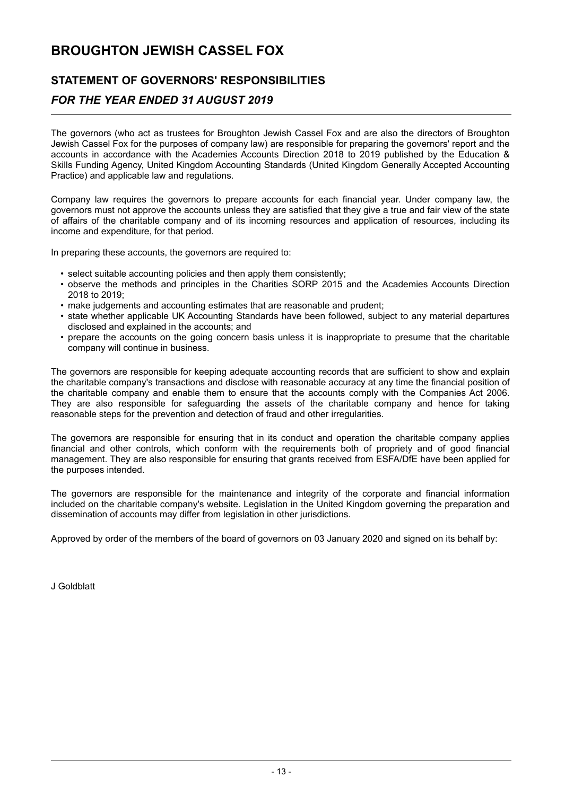## **STATEMENT OF GOVERNORS' RESPONSIBILITIES**

## *FOR THE YEAR ENDED 31 AUGUST 2019*

The governors (who act as trustees for Broughton Jewish Cassel Fox and are also the directors of Broughton Jewish Cassel Fox for the purposes of company law) are responsible for preparing the governors' report and the accounts in accordance with the Academies Accounts Direction 2018 to 2019 published by the Education & Skills Funding Agency, United Kingdom Accounting Standards (United Kingdom Generally Accepted Accounting Practice) and applicable law and regulations.

Company law requires the governors to prepare accounts for each financial year. Under company law, the governors must not approve the accounts unless they are satisfied that they give a true and fair view of the state of affairs of the charitable company and of its incoming resources and application of resources, including its income and expenditure, for that period.

In preparing these accounts, the governors are required to:

- select suitable accounting policies and then apply them consistently;
- observe the methods and principles in the Charities SORP 2015 and the Academies Accounts Direction 2018 to 2019;
- make judgements and accounting estimates that are reasonable and prudent;
- state whether applicable UK Accounting Standards have been followed, subject to any material departures disclosed and explained in the accounts; and
- prepare the accounts on the going concern basis unless it is inappropriate to presume that the charitable company will continue in business.

The governors are responsible for keeping adequate accounting records that are sufficient to show and explain the charitable company's transactions and disclose with reasonable accuracy at any time the financial position of the charitable company and enable them to ensure that the accounts comply with the Companies Act 2006. They are also responsible for safeguarding the assets of the charitable company and hence for taking reasonable steps for the prevention and detection of fraud and other irregularities.

The governors are responsible for ensuring that in its conduct and operation the charitable company applies financial and other controls, which conform with the requirements both of propriety and of good financial management. They are also responsible for ensuring that grants received from ESFA/DfE have been applied for the purposes intended.

The governors are responsible for the maintenance and integrity of the corporate and financial information included on the charitable company's website. Legislation in the United Kingdom governing the preparation and dissemination of accounts may differ from legislation in other jurisdictions.

Approved by order of the members of the board of governors on 03 January 2020 and signed on its behalf by:

J Goldblatt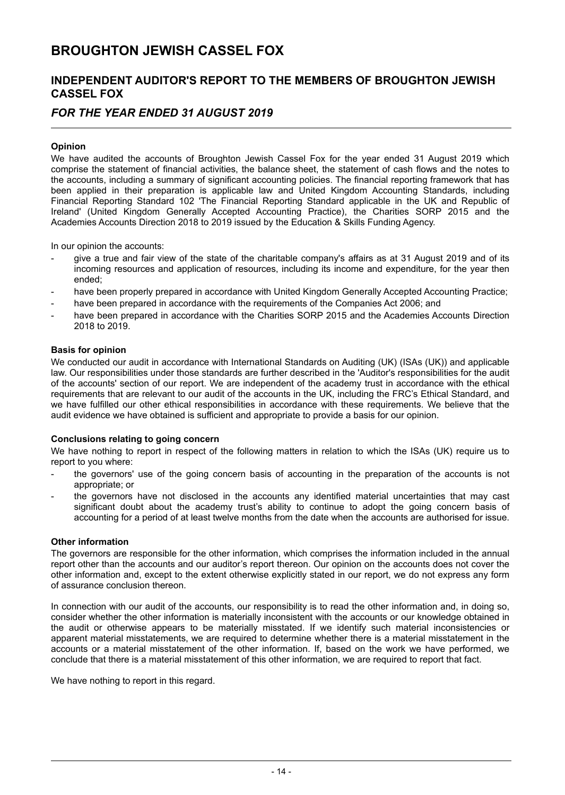## **INDEPENDENT AUDITOR'S REPORT TO THE MEMBERS OF BROUGHTON JEWISH CASSEL FOX**

## *FOR THE YEAR ENDED 31 AUGUST 2019*

## **Opinion**

We have audited the accounts of Broughton Jewish Cassel Fox for the year ended 31 August 2019 which comprise the statement of financial activities, the balance sheet, the statement of cash flows and the notes to the accounts, including a summary of significant accounting policies. The financial reporting framework that has been applied in their preparation is applicable law and United Kingdom Accounting Standards, including Financial Reporting Standard 102 'The Financial Reporting Standard applicable in the UK and Republic of Ireland' (United Kingdom Generally Accepted Accounting Practice), the Charities SORP 2015 and the Academies Accounts Direction 2018 to 2019 issued by the Education & Skills Funding Agency.

In our opinion the accounts:

- give a true and fair view of the state of the charitable company's affairs as at 31 August 2019 and of its incoming resources and application of resources, including its income and expenditure, for the year then ended;
- have been properly prepared in accordance with United Kingdom Generally Accepted Accounting Practice;
- have been prepared in accordance with the requirements of the Companies Act 2006; and
- have been prepared in accordance with the Charities SORP 2015 and the Academies Accounts Direction 2018 to 2019.

### **Basis for opinion**

We conducted our audit in accordance with International Standards on Auditing (UK) (ISAs (UK)) and applicable law. Our responsibilities under those standards are further described in the 'Auditor's responsibilities for the audit of the accounts' section of our report. We are independent of the academy trust in accordance with the ethical requirements that are relevant to our audit of the accounts in the UK, including the FRC's Ethical Standard, and we have fulfilled our other ethical responsibilities in accordance with these requirements. We believe that the audit evidence we have obtained is sufficient and appropriate to provide a basis for our opinion.

## **Conclusions relating to going concern**

We have nothing to report in respect of the following matters in relation to which the ISAs (UK) require us to report to you where:

- the governors' use of the going concern basis of accounting in the preparation of the accounts is not appropriate; or
- the governors have not disclosed in the accounts any identified material uncertainties that may cast significant doubt about the academy trust's ability to continue to adopt the going concern basis of accounting for a period of at least twelve months from the date when the accounts are authorised for issue.

## **Other information**

The governors are responsible for the other information, which comprises the information included in the annual report other than the accounts and our auditor's report thereon. Our opinion on the accounts does not cover the other information and, except to the extent otherwise explicitly stated in our report, we do not express any form of assurance conclusion thereon.

In connection with our audit of the accounts, our responsibility is to read the other information and, in doing so, consider whether the other information is materially inconsistent with the accounts or our knowledge obtained in the audit or otherwise appears to be materially misstated. If we identify such material inconsistencies or apparent material misstatements, we are required to determine whether there is a material misstatement in the accounts or a material misstatement of the other information. If, based on the work we have performed, we conclude that there is a material misstatement of this other information, we are required to report that fact.

We have nothing to report in this regard.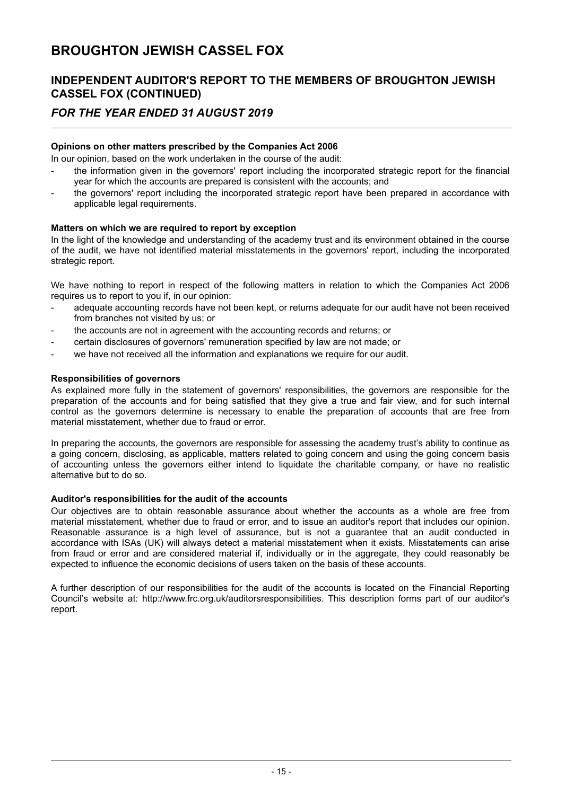## **INDEPENDENT AUDITOR'S REPORT TO THE MEMBERS OF BROUGHTON JEWISH CASSEL FOX (CONTINUED)**

## *FOR THE YEAR ENDED 31 AUGUST 2019*

## **Opinions on other matters prescribed by the Companies Act 2006**

In our opinion, based on the work undertaken in the course of the audit:

- the information given in the governors' report including the incorporated strategic report for the financial year for which the accounts are prepared is consistent with the accounts; and
- the governors' report including the incorporated strategic report have been prepared in accordance with applicable legal requirements.

## **Matters on which we are required to report by exception**

In the light of the knowledge and understanding of the academy trust and its environment obtained in the course of the audit, we have not identified material misstatements in the governors' report, including the incorporated strategic report.

We have nothing to report in respect of the following matters in relation to which the Companies Act 2006 requires us to report to you if, in our opinion:

- adequate accounting records have not been kept, or returns adequate for our audit have not been received from branches not visited by us; or
- the accounts are not in agreement with the accounting records and returns; or
- certain disclosures of governors' remuneration specified by law are not made; or
- we have not received all the information and explanations we require for our audit.

### **Responsibilities of governors**

As explained more fully in the statement of governors' responsibilities, the governors are responsible for the preparation of the accounts and for being satisfied that they give a true and fair view, and for such internal control as the governors determine is necessary to enable the preparation of accounts that are free from material misstatement, whether due to fraud or error.

In preparing the accounts, the governors are responsible for assessing the academy trust's ability to continue as a going concern, disclosing, as applicable, matters related to going concern and using the going concern basis of accounting unless the governors either intend to liquidate the charitable company, or have no realistic alternative but to do so.

#### **Auditor's responsibilities for the audit of the accounts**

Our objectives are to obtain reasonable assurance about whether the accounts as a whole are free from material misstatement, whether due to fraud or error, and to issue an auditor's report that includes our opinion. Reasonable assurance is a high level of assurance, but is not a guarantee that an audit conducted in accordance with ISAs (UK) will always detect a material misstatement when it exists. Misstatements can arise from fraud or error and are considered material if, individually or in the aggregate, they could reasonably be expected to influence the economic decisions of users taken on the basis of these accounts.

A further description of our responsibilities for the audit of the accounts is located on the Financial Reporting Council's website at: http://www.frc.org.uk/auditorsresponsibilities. This description forms part of our auditor's report.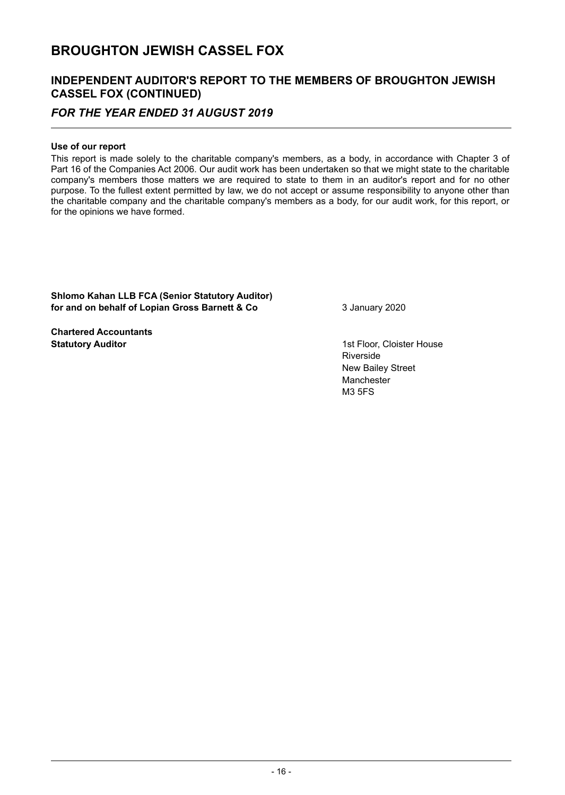## **INDEPENDENT AUDITOR'S REPORT TO THE MEMBERS OF BROUGHTON JEWISH CASSEL FOX (CONTINUED)**

## *FOR THE YEAR ENDED 31 AUGUST 2019*

## **Use of our report**

This report is made solely to the charitable company's members, as a body, in accordance with Chapter 3 of Part 16 of the Companies Act 2006. Our audit work has been undertaken so that we might state to the charitable company's members those matters we are required to state to them in an auditor's report and for no other purpose. To the fullest extent permitted by law, we do not accept or assume responsibility to anyone other than the charitable company and the charitable company's members as a body, for our audit work, for this report, or for the opinions we have formed.

**Shlomo Kahan LLB FCA (Senior Statutory Auditor) for and on behalf of Lopian Gross Barnett & Co** 3 January 2020

**Chartered Accountants Statutory Auditor** 1st Floor, Cloister House

Riverside New Bailey Street Manchester M3 5FS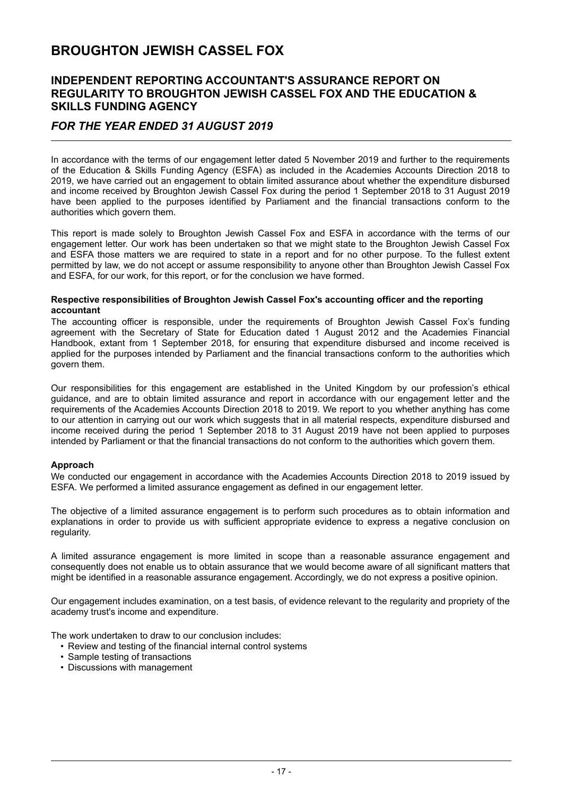## **INDEPENDENT REPORTING ACCOUNTANT'S ASSURANCE REPORT ON REGULARITY TO BROUGHTON JEWISH CASSEL FOX AND THE EDUCATION & SKILLS FUNDING AGENCY**

## *FOR THE YEAR ENDED 31 AUGUST 2019*

In accordance with the terms of our engagement letter dated 5 November 2019 and further to the requirements of the Education & Skills Funding Agency (ESFA) as included in the Academies Accounts Direction 2018 to 2019, we have carried out an engagement to obtain limited assurance about whether the expenditure disbursed and income received by Broughton Jewish Cassel Fox during the period 1 September 2018 to 31 August 2019 have been applied to the purposes identified by Parliament and the financial transactions conform to the authorities which govern them.

This report is made solely to Broughton Jewish Cassel Fox and ESFA in accordance with the terms of our engagement letter. Our work has been undertaken so that we might state to the Broughton Jewish Cassel Fox and ESFA those matters we are required to state in a report and for no other purpose. To the fullest extent permitted by law, we do not accept or assume responsibility to anyone other than Broughton Jewish Cassel Fox and ESFA, for our work, for this report, or for the conclusion we have formed.

#### **Respective responsibilities of Broughton Jewish Cassel Fox's accounting officer and the reporting accountant**

The accounting officer is responsible, under the requirements of Broughton Jewish Cassel Fox's funding agreement with the Secretary of State for Education dated 1 August 2012 and the Academies Financial Handbook, extant from 1 September 2018, for ensuring that expenditure disbursed and income received is applied for the purposes intended by Parliament and the financial transactions conform to the authorities which govern them.

Our responsibilities for this engagement are established in the United Kingdom by our profession's ethical guidance, and are to obtain limited assurance and report in accordance with our engagement letter and the requirements of the Academies Accounts Direction 2018 to 2019. We report to you whether anything has come to our attention in carrying out our work which suggests that in all material respects, expenditure disbursed and income received during the period 1 September 2018 to 31 August 2019 have not been applied to purposes intended by Parliament or that the financial transactions do not conform to the authorities which govern them.

#### **Approach**

We conducted our engagement in accordance with the Academies Accounts Direction 2018 to 2019 issued by ESFA. We performed a limited assurance engagement as defined in our engagement letter.

The objective of a limited assurance engagement is to perform such procedures as to obtain information and explanations in order to provide us with sufficient appropriate evidence to express a negative conclusion on regularity.

A limited assurance engagement is more limited in scope than a reasonable assurance engagement and consequently does not enable us to obtain assurance that we would become aware of all significant matters that might be identified in a reasonable assurance engagement. Accordingly, we do not express a positive opinion.

Our engagement includes examination, on a test basis, of evidence relevant to the regularity and propriety of the academy trust's income and expenditure.

The work undertaken to draw to our conclusion includes:

- Review and testing of the financial internal control systems
- Sample testing of transactions
- Discussions with management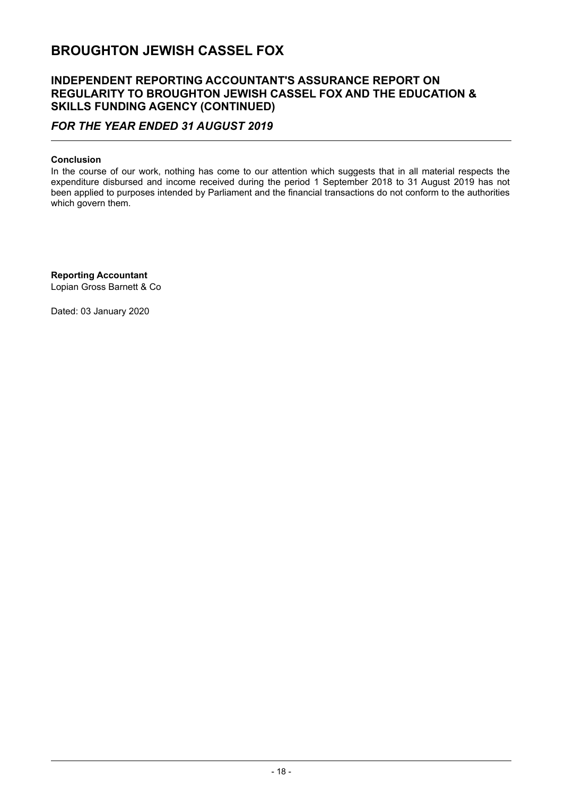## **INDEPENDENT REPORTING ACCOUNTANT'S ASSURANCE REPORT ON REGULARITY TO BROUGHTON JEWISH CASSEL FOX AND THE EDUCATION & SKILLS FUNDING AGENCY (CONTINUED)**

## *FOR THE YEAR ENDED 31 AUGUST 2019*

## **Conclusion**

In the course of our work, nothing has come to our attention which suggests that in all material respects the expenditure disbursed and income received during the period 1 September 2018 to 31 August 2019 has not been applied to purposes intended by Parliament and the financial transactions do not conform to the authorities which govern them.

**Reporting Accountant** Lopian Gross Barnett & Co

Dated: 03 January 2020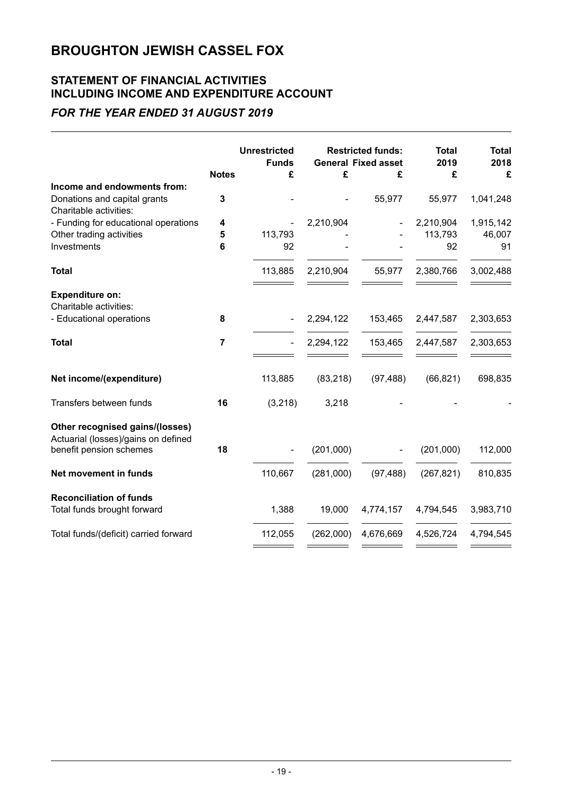## **STATEMENT OF FINANCIAL ACTIVITIES INCLUDING INCOME AND EXPENDITURE ACCOUNT**

## *FOR THE YEAR ENDED 31 AUGUST 2019*

|                                                                        | <b>Notes</b>   | <b>Unrestricted</b><br><b>Funds</b><br>£ | £         | <b>Restricted funds:</b><br><b>General Fixed asset</b><br>£ | <b>Total</b><br>2019<br>£ | <b>Total</b><br>2018<br>£ |
|------------------------------------------------------------------------|----------------|------------------------------------------|-----------|-------------------------------------------------------------|---------------------------|---------------------------|
| Income and endowments from:                                            |                |                                          |           |                                                             |                           |                           |
| Donations and capital grants<br>Charitable activities:                 | 3              |                                          |           | 55,977                                                      | 55,977                    | 1,041,248                 |
| - Funding for educational operations                                   | 4              |                                          | 2,210,904 |                                                             | 2,210,904                 | 1,915,142                 |
| Other trading activities                                               | 5              | 113,793                                  |           |                                                             | 113,793                   | 46,007                    |
| Investments                                                            | 6              | 92                                       |           |                                                             | 92                        | 91                        |
| <b>Total</b>                                                           |                | 113,885                                  | 2,210,904 | 55,977                                                      | 2,380,766                 | 3,002,488                 |
| <b>Expenditure on:</b><br>Charitable activities:                       |                |                                          |           |                                                             |                           |                           |
| - Educational operations                                               | 8              |                                          | 2,294,122 | 153,465                                                     | 2,447,587                 | 2,303,653                 |
| <b>Total</b>                                                           | $\overline{7}$ |                                          | 2,294,122 | 153,465                                                     | 2,447,587                 | 2,303,653                 |
| Net income/(expenditure)                                               |                | 113,885                                  | (83, 218) | (97, 488)                                                   | (66, 821)                 | 698,835                   |
| Transfers between funds                                                | 16             | (3,218)                                  | 3,218     |                                                             |                           |                           |
| Other recognised gains/(losses)<br>Actuarial (losses)/gains on defined |                |                                          |           |                                                             |                           |                           |
| benefit pension schemes                                                | 18             |                                          | (201,000) |                                                             | (201,000)                 | 112,000                   |
| Net movement in funds                                                  |                | 110,667                                  | (281,000) | (97, 488)                                                   | (267, 821)                | 810,835                   |
| <b>Reconciliation of funds</b>                                         |                |                                          |           |                                                             |                           |                           |
| Total funds brought forward                                            |                | 1,388                                    | 19,000    | 4,774,157                                                   | 4,794,545                 | 3,983,710                 |
| Total funds/(deficit) carried forward                                  |                | 112,055                                  | (262,000) | 4,676,669                                                   | 4,526,724                 | 4,794,545                 |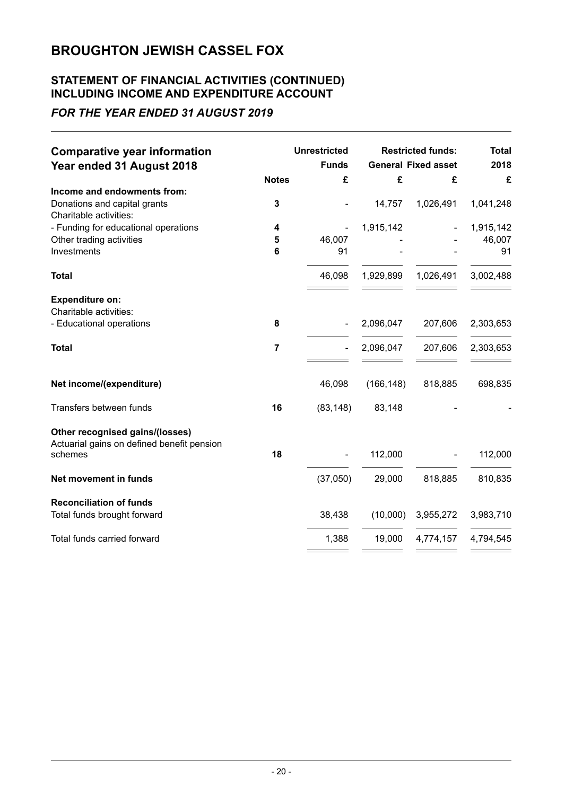## **STATEMENT OF FINANCIAL ACTIVITIES (CONTINUED) INCLUDING INCOME AND EXPENDITURE ACCOUNT**

## *FOR THE YEAR ENDED 31 AUGUST 2019*

| <b>Comparative year information</b>                                           |                | <b>Unrestricted</b> |            | <b>Restricted funds:</b>   | <b>Total</b> |
|-------------------------------------------------------------------------------|----------------|---------------------|------------|----------------------------|--------------|
| Year ended 31 August 2018                                                     |                | <b>Funds</b>        |            | <b>General Fixed asset</b> | 2018         |
|                                                                               | <b>Notes</b>   | £                   | £          | £                          | £            |
| Income and endowments from:                                                   |                |                     |            |                            |              |
| Donations and capital grants                                                  | 3              |                     | 14,757     | 1,026,491                  | 1,041,248    |
| Charitable activities:                                                        |                |                     |            |                            |              |
| - Funding for educational operations                                          | 4              |                     | 1,915,142  |                            | 1,915,142    |
| Other trading activities                                                      | 5              | 46,007              |            |                            | 46,007       |
| Investments                                                                   | 6              | 91                  |            |                            | 91           |
| <b>Total</b>                                                                  |                | 46,098              | 1,929,899  | 1,026,491                  | 3,002,488    |
| <b>Expenditure on:</b>                                                        |                |                     |            |                            |              |
| Charitable activities:                                                        |                |                     |            |                            |              |
| - Educational operations                                                      | 8              |                     | 2,096,047  | 207,606                    | 2,303,653    |
| <b>Total</b>                                                                  | $\overline{7}$ |                     | 2,096,047  | 207,606                    | 2,303,653    |
| Net income/(expenditure)                                                      |                | 46,098              | (166, 148) | 818,885                    | 698,835      |
| Transfers between funds                                                       | 16             | (83, 148)           | 83,148     |                            |              |
| Other recognised gains/(losses)<br>Actuarial gains on defined benefit pension | 18             |                     |            |                            |              |
| schemes                                                                       |                |                     | 112,000    |                            | 112,000      |
| <b>Net movement in funds</b>                                                  |                | (37,050)            | 29,000     | 818,885                    | 810,835      |
| <b>Reconciliation of funds</b>                                                |                |                     |            |                            |              |
| Total funds brought forward                                                   |                | 38,438              | (10,000)   | 3,955,272                  | 3,983,710    |
| Total funds carried forward                                                   |                | 1,388               | 19,000     | 4,774,157                  | 4,794,545    |
|                                                                               |                |                     |            |                            |              |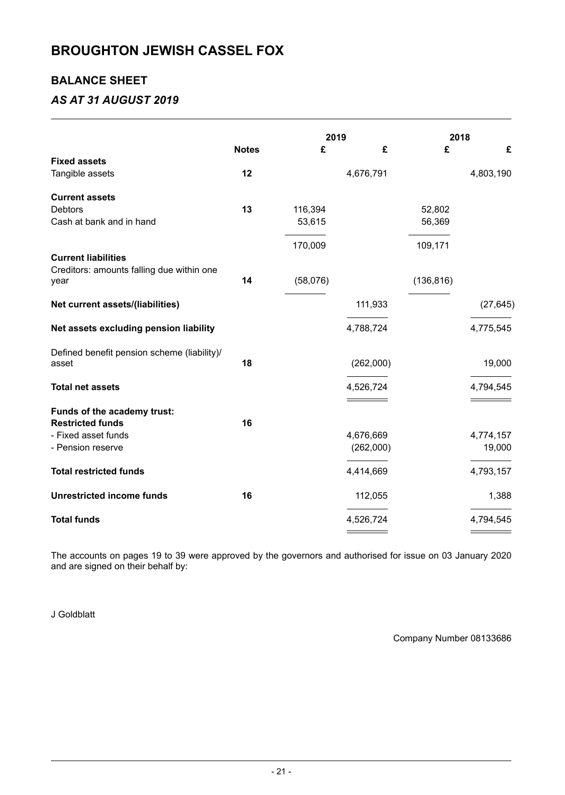## **BALANCE SHEET**

## *AS AT 31 AUGUST 2019*

|                                                   |              | 2019     |           | 2018       |           |
|---------------------------------------------------|--------------|----------|-----------|------------|-----------|
|                                                   | <b>Notes</b> | £        | £         | £          | £         |
| <b>Fixed assets</b>                               |              |          |           |            |           |
| Tangible assets                                   | 12           |          | 4,676,791 |            | 4,803,190 |
| <b>Current assets</b>                             |              |          |           |            |           |
| <b>Debtors</b>                                    | 13           | 116,394  |           | 52,802     |           |
| Cash at bank and in hand                          |              | 53,615   |           | 56,369     |           |
|                                                   |              | 170,009  |           | 109,171    |           |
| <b>Current liabilities</b>                        |              |          |           |            |           |
| Creditors: amounts falling due within one<br>year | 14           | (58,076) |           | (136, 816) |           |
| Net current assets/(liabilities)                  |              |          | 111,933   |            | (27, 645) |
| Net assets excluding pension liability            |              |          | 4,788,724 |            | 4,775,545 |
| Defined benefit pension scheme (liability)/       |              |          |           |            |           |
| asset                                             | 18           |          | (262,000) |            | 19,000    |
| <b>Total net assets</b>                           |              |          | 4,526,724 |            | 4,794,545 |
| Funds of the academy trust:                       |              |          |           |            |           |
| <b>Restricted funds</b>                           | 16           |          |           |            |           |
| - Fixed asset funds                               |              |          | 4,676,669 |            | 4,774,157 |
| - Pension reserve                                 |              |          | (262,000) |            | 19,000    |
| <b>Total restricted funds</b>                     |              |          | 4,414,669 |            | 4,793,157 |
| <b>Unrestricted income funds</b>                  | 16           |          | 112,055   |            | 1,388     |
| <b>Total funds</b>                                |              |          | 4,526,724 |            | 4,794,545 |
|                                                   |              |          |           |            |           |

The accounts on pages 19 to 39 were approved by the governors and authorised for issue on 03 January 2020 and are signed on their behalf by:

J Goldblatt

Company Number 08133686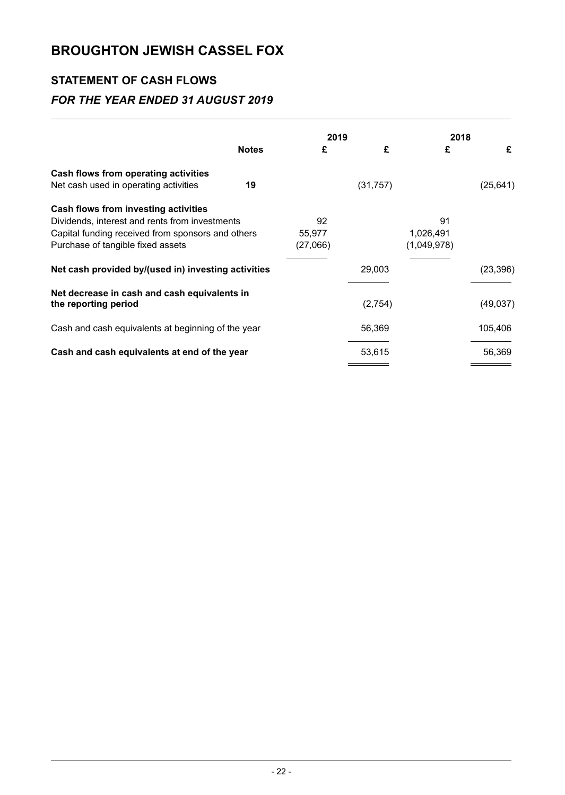## **STATEMENT OF CASH FLOWS**

## *FOR THE YEAR ENDED 31 AUGUST 2019*

|                                                     |              | 2019     |           | 2018        |           |
|-----------------------------------------------------|--------------|----------|-----------|-------------|-----------|
|                                                     | <b>Notes</b> | £        | £         | £           | £         |
| Cash flows from operating activities                |              |          |           |             |           |
| Net cash used in operating activities               | 19           |          | (31, 757) |             | (25, 641) |
| Cash flows from investing activities                |              |          |           |             |           |
| Dividends, interest and rents from investments      |              | 92       |           | 91          |           |
| Capital funding received from sponsors and others   |              | 55,977   |           | 1,026,491   |           |
| Purchase of tangible fixed assets                   |              | (27,066) |           | (1,049,978) |           |
| Net cash provided by/(used in) investing activities |              |          | 29,003    |             | (23, 396) |
| Net decrease in cash and cash equivalents in        |              |          |           |             |           |
| the reporting period                                |              |          | (2,754)   |             | (49,037)  |
| Cash and cash equivalents at beginning of the year  |              |          | 56,369    |             | 105,406   |
| Cash and cash equivalents at end of the year        |              |          | 53,615    |             | 56,369    |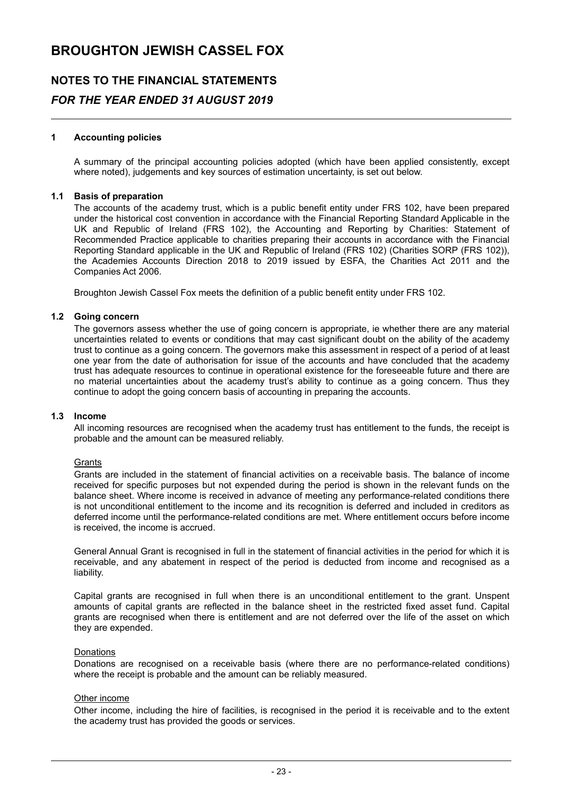# **NOTES TO THE FINANCIAL STATEMENTS** *FOR THE YEAR ENDED 31 AUGUST 2019*

### **1 Accounting policies**

A summary of the principal accounting policies adopted (which have been applied consistently, except where noted), judgements and key sources of estimation uncertainty, is set out below.

#### **1.1 Basis of preparation**

The accounts of the academy trust, which is a public benefit entity under FRS 102, have been prepared under the historical cost convention in accordance with the Financial Reporting Standard Applicable in the UK and Republic of Ireland (FRS 102), the Accounting and Reporting by Charities: Statement of Recommended Practice applicable to charities preparing their accounts in accordance with the Financial Reporting Standard applicable in the UK and Republic of Ireland (FRS 102) (Charities SORP (FRS 102)), the Academies Accounts Direction 2018 to 2019 issued by ESFA, the Charities Act 2011 and the Companies Act 2006.

Broughton Jewish Cassel Fox meets the definition of a public benefit entity under FRS 102.

#### **1.2 Going concern**

The governors assess whether the use of going concern is appropriate, ie whether there are any material uncertainties related to events or conditions that may cast significant doubt on the ability of the academy trust to continue as a going concern. The governors make this assessment in respect of a period of at least one year from the date of authorisation for issue of the accounts and have concluded that the academy trust has adequate resources to continue in operational existence for the foreseeable future and there are no material uncertainties about the academy trust's ability to continue as a going concern. Thus they continue to adopt the going concern basis of accounting in preparing the accounts.

#### **1.3 Income**

All incoming resources are recognised when the academy trust has entitlement to the funds, the receipt is probable and the amount can be measured reliably.

#### **Grants**

Grants are included in the statement of financial activities on a receivable basis. The balance of income received for specific purposes but not expended during the period is shown in the relevant funds on the balance sheet. Where income is received in advance of meeting any performance-related conditions there is not unconditional entitlement to the income and its recognition is deferred and included in creditors as deferred income until the performance-related conditions are met. Where entitlement occurs before income is received, the income is accrued.

General Annual Grant is recognised in full in the statement of financial activities in the period for which it is receivable, and any abatement in respect of the period is deducted from income and recognised as a liability.

Capital grants are recognised in full when there is an unconditional entitlement to the grant. Unspent amounts of capital grants are reflected in the balance sheet in the restricted fixed asset fund. Capital grants are recognised when there is entitlement and are not deferred over the life of the asset on which they are expended.

#### Donations

Donations are recognised on a receivable basis (where there are no performance-related conditions) where the receipt is probable and the amount can be reliably measured.

#### Other income

Other income, including the hire of facilities, is recognised in the period it is receivable and to the extent the academy trust has provided the goods or services.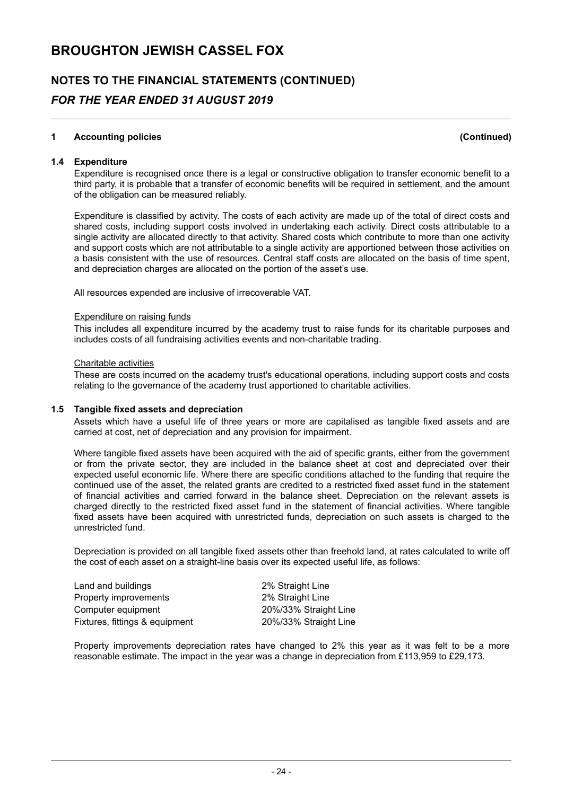# **NOTES TO THE FINANCIAL STATEMENTS (CONTINUED)** *FOR THE YEAR ENDED 31 AUGUST 2019*

## **1 Accounting policies (Continued)**

**1.4 Expenditure**

Expenditure is recognised once there is a legal or constructive obligation to transfer economic benefit to a third party, it is probable that a transfer of economic benefits will be required in settlement, and the amount of the obligation can be measured reliably.

Expenditure is classified by activity. The costs of each activity are made up of the total of direct costs and shared costs, including support costs involved in undertaking each activity. Direct costs attributable to a single activity are allocated directly to that activity. Shared costs which contribute to more than one activity and support costs which are not attributable to a single activity are apportioned between those activities on a basis consistent with the use of resources. Central staff costs are allocated on the basis of time spent, and depreciation charges are allocated on the portion of the asset's use.

All resources expended are inclusive of irrecoverable VAT.

#### Expenditure on raising funds

This includes all expenditure incurred by the academy trust to raise funds for its charitable purposes and includes costs of all fundraising activities events and non-charitable trading.

#### Charitable activities

These are costs incurred on the academy trust's educational operations, including support costs and costs relating to the governance of the academy trust apportioned to charitable activities.

## **1.5 Tangible fixed assets and depreciation**

Assets which have a useful life of three years or more are capitalised as tangible fixed assets and are carried at cost, net of depreciation and any provision for impairment.

Where tangible fixed assets have been acquired with the aid of specific grants, either from the government or from the private sector, they are included in the balance sheet at cost and depreciated over their expected useful economic life. Where there are specific conditions attached to the funding that require the continued use of the asset, the related grants are credited to a restricted fixed asset fund in the statement of financial activities and carried forward in the balance sheet. Depreciation on the relevant assets is charged directly to the restricted fixed asset fund in the statement of financial activities. Where tangible fixed assets have been acquired with unrestricted funds, depreciation on such assets is charged to the unrestricted fund.

Depreciation is provided on all tangible fixed assets other than freehold land, at rates calculated to write off the cost of each asset on a straight-line basis over its expected useful life, as follows:

| Land and buildings             | 2% Straight Line      |
|--------------------------------|-----------------------|
| Property improvements          | 2% Straight Line      |
| Computer equipment             | 20%/33% Straight Line |
| Fixtures, fittings & equipment | 20%/33% Straight Line |

Property improvements depreciation rates have changed to 2% this year as it was felt to be a more reasonable estimate. The impact in the year was a change in depreciation from £113,959 to £29,173.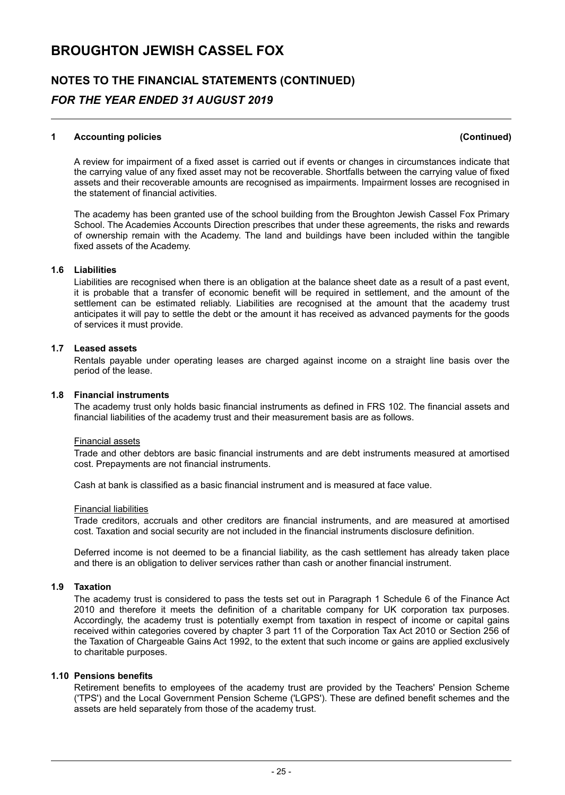# **NOTES TO THE FINANCIAL STATEMENTS (CONTINUED)** *FOR THE YEAR ENDED 31 AUGUST 2019*

### **1 Accounting policies (Continued)**

A review for impairment of a fixed asset is carried out if events or changes in circumstances indicate that the carrying value of any fixed asset may not be recoverable. Shortfalls between the carrying value of fixed assets and their recoverable amounts are recognised as impairments. Impairment losses are recognised in the statement of financial activities.

The academy has been granted use of the school building from the Broughton Jewish Cassel Fox Primary School. The Academies Accounts Direction prescribes that under these agreements, the risks and rewards of ownership remain with the Academy. The land and buildings have been included within the tangible fixed assets of the Academy.

### **1.6 Liabilities**

Liabilities are recognised when there is an obligation at the balance sheet date as a result of a past event, it is probable that a transfer of economic benefit will be required in settlement, and the amount of the settlement can be estimated reliably. Liabilities are recognised at the amount that the academy trust anticipates it will pay to settle the debt or the amount it has received as advanced payments for the goods of services it must provide.

## **1.7 Leased assets**

Rentals payable under operating leases are charged against income on a straight line basis over the period of the lease.

## **1.8 Financial instruments**

The academy trust only holds basic financial instruments as defined in FRS 102. The financial assets and financial liabilities of the academy trust and their measurement basis are as follows.

#### Financial assets

Trade and other debtors are basic financial instruments and are debt instruments measured at amortised cost. Prepayments are not financial instruments.

Cash at bank is classified as a basic financial instrument and is measured at face value.

## Financial liabilities

Trade creditors, accruals and other creditors are financial instruments, and are measured at amortised cost. Taxation and social security are not included in the financial instruments disclosure definition.

Deferred income is not deemed to be a financial liability, as the cash settlement has already taken place and there is an obligation to deliver services rather than cash or another financial instrument.

#### **1.9 Taxation**

The academy trust is considered to pass the tests set out in Paragraph 1 Schedule 6 of the Finance Act 2010 and therefore it meets the definition of a charitable company for UK corporation tax purposes. Accordingly, the academy trust is potentially exempt from taxation in respect of income or capital gains received within categories covered by chapter 3 part 11 of the Corporation Tax Act 2010 or Section 256 of the Taxation of Chargeable Gains Act 1992, to the extent that such income or gains are applied exclusively to charitable purposes.

#### **1.10 Pensions benefits**

Retirement benefits to employees of the academy trust are provided by the Teachers' Pension Scheme ('TPS') and the Local Government Pension Scheme ('LGPS'). These are defined benefit schemes and the assets are held separately from those of the academy trust.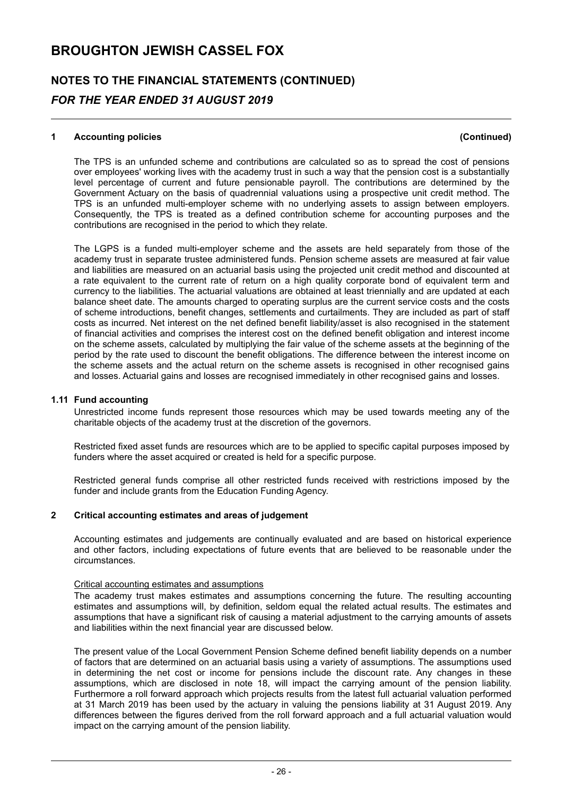# **NOTES TO THE FINANCIAL STATEMENTS (CONTINUED)** *FOR THE YEAR ENDED 31 AUGUST 2019*

### **1 Accounting policies (Continued)**

The TPS is an unfunded scheme and contributions are calculated so as to spread the cost of pensions over employees' working lives with the academy trust in such a way that the pension cost is a substantially level percentage of current and future pensionable payroll. The contributions are determined by the Government Actuary on the basis of quadrennial valuations using a prospective unit credit method. The TPS is an unfunded multi-employer scheme with no underlying assets to assign between employers. Consequently, the TPS is treated as a defined contribution scheme for accounting purposes and the contributions are recognised in the period to which they relate.

The LGPS is a funded multi-employer scheme and the assets are held separately from those of the academy trust in separate trustee administered funds. Pension scheme assets are measured at fair value and liabilities are measured on an actuarial basis using the projected unit credit method and discounted at a rate equivalent to the current rate of return on a high quality corporate bond of equivalent term and currency to the liabilities. The actuarial valuations are obtained at least triennially and are updated at each balance sheet date. The amounts charged to operating surplus are the current service costs and the costs of scheme introductions, benefit changes, settlements and curtailments. They are included as part of staff costs as incurred. Net interest on the net defined benefit liability/asset is also recognised in the statement of financial activities and comprises the interest cost on the defined benefit obligation and interest income on the scheme assets, calculated by multiplying the fair value of the scheme assets at the beginning of the period by the rate used to discount the benefit obligations. The difference between the interest income on the scheme assets and the actual return on the scheme assets is recognised in other recognised gains and losses. Actuarial gains and losses are recognised immediately in other recognised gains and losses.

#### **1.11 Fund accounting**

Unrestricted income funds represent those resources which may be used towards meeting any of the charitable objects of the academy trust at the discretion of the governors.

Restricted fixed asset funds are resources which are to be applied to specific capital purposes imposed by funders where the asset acquired or created is held for a specific purpose.

Restricted general funds comprise all other restricted funds received with restrictions imposed by the funder and include grants from the Education Funding Agency.

## **2 Critical accounting estimates and areas of judgement**

Accounting estimates and judgements are continually evaluated and are based on historical experience and other factors, including expectations of future events that are believed to be reasonable under the circumstances.

#### Critical accounting estimates and assumptions

The academy trust makes estimates and assumptions concerning the future. The resulting accounting estimates and assumptions will, by definition, seldom equal the related actual results. The estimates and assumptions that have a significant risk of causing a material adjustment to the carrying amounts of assets and liabilities within the next financial year are discussed below.

The present value of the Local Government Pension Scheme defined benefit liability depends on a number of factors that are determined on an actuarial basis using a variety of assumptions. The assumptions used in determining the net cost or income for pensions include the discount rate. Any changes in these assumptions, which are disclosed in note 18, will impact the carrying amount of the pension liability. Furthermore a roll forward approach which projects results from the latest full actuarial valuation performed at 31 March 2019 has been used by the actuary in valuing the pensions liability at 31 August 2019. Any differences between the figures derived from the roll forward approach and a full actuarial valuation would impact on the carrying amount of the pension liability.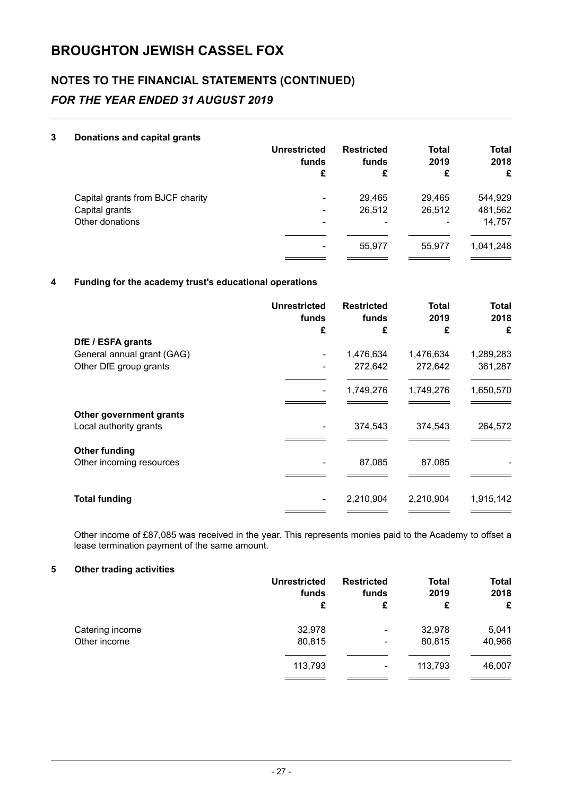## **NOTES TO THE FINANCIAL STATEMENTS (CONTINUED)** *FOR THE YEAR ENDED 31 AUGUST 2019*

## **3 Donations and capital grants**

|                                  | <b>Unrestricted</b><br>funds<br>£ | <b>Restricted</b><br>funds<br>£ | <b>Total</b><br>2019<br>£ | <b>Total</b><br>2018<br>£ |
|----------------------------------|-----------------------------------|---------------------------------|---------------------------|---------------------------|
| Capital grants from BJCF charity | $\overline{\phantom{a}}$          | 29,465                          | 29,465                    | 544,929                   |
| Capital grants                   | ۰                                 | 26,512                          | 26,512                    | 481,562                   |
| Other donations                  | ۰                                 | ۰                               |                           | 14,757                    |
|                                  | ۰                                 | 55.977                          | 55.977                    | 1,041,248                 |

## **4 Funding for the academy trust's educational operations**

|                                                   | <b>Unrestricted</b><br>funds<br>£ | <b>Restricted</b><br>funds<br>£ | <b>Total</b><br>2019<br>£ | <b>Total</b><br>2018<br>£ |
|---------------------------------------------------|-----------------------------------|---------------------------------|---------------------------|---------------------------|
| DfE / ESFA grants                                 |                                   |                                 |                           |                           |
| General annual grant (GAG)                        |                                   | 1,476,634                       | 1,476,634                 | 1,289,283                 |
| Other DfE group grants                            |                                   | 272,642                         | 272,642                   | 361,287                   |
|                                                   |                                   |                                 |                           |                           |
|                                                   |                                   | 1,749,276                       | 1,749,276                 | 1,650,570                 |
| Other government grants<br>Local authority grants |                                   | 374,543                         | 374,543                   | 264,572                   |
| <b>Other funding</b><br>Other incoming resources  |                                   | 87,085                          | 87,085                    |                           |
| <b>Total funding</b>                              |                                   | 2,210,904                       | 2,210,904                 | 1,915,142                 |

Other income of £87,085 was received in the year. This represents monies paid to the Academy to offset a lease termination payment of the same amount.

## **5 Other trading activities**

|                 | <b>Unrestricted</b><br>funds<br>£ | <b>Restricted</b><br>funds<br>£ | <b>Total</b><br>2019<br>£ | <b>Total</b><br>2018<br>£ |
|-----------------|-----------------------------------|---------------------------------|---------------------------|---------------------------|
| Catering income | 32,978                            | ۰                               | 32,978                    | 5,041                     |
| Other income    | 80,815                            | ۰                               | 80,815                    | 40,966                    |
|                 | 113,793                           | ۰                               | 113,793                   | 46,007                    |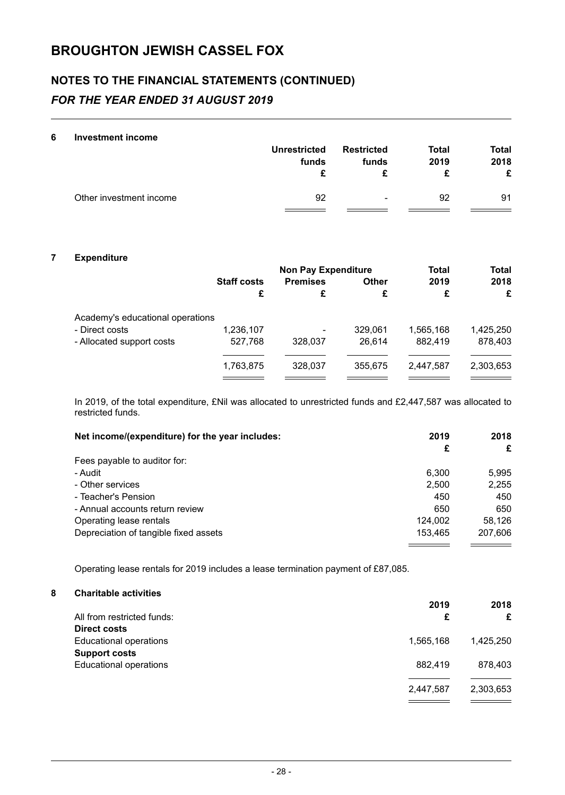# **NOTES TO THE FINANCIAL STATEMENTS (CONTINUED)** *FOR THE YEAR ENDED 31 AUGUST 2019*

#### **6 Investment income**

|                         | <b>Unrestricted</b><br>funds | <b>Restricted</b><br>funds | <b>Total</b><br>2019 | <b>Total</b><br>2018<br>£ |
|-------------------------|------------------------------|----------------------------|----------------------|---------------------------|
| Other investment income | 92                           | $\sim$                     | 92                   | 91                        |

## **7 Expenditure**

|                                  |                    | <b>Non Pay Expenditure</b> |              |           | <b>Total</b> |
|----------------------------------|--------------------|----------------------------|--------------|-----------|--------------|
|                                  | <b>Staff costs</b> | <b>Premises</b>            | <b>Other</b> | 2019      | 2018         |
|                                  | £                  | £                          | £            | £         | £            |
| Academy's educational operations |                    |                            |              |           |              |
| - Direct costs                   | 1,236,107          | ٠                          | 329,061      | 1,565,168 | 1,425,250    |
| - Allocated support costs        | 527,768            | 328,037                    | 26.614       | 882.419   | 878,403      |
|                                  |                    |                            |              |           |              |
|                                  | 1,763,875          | 328,037                    | 355,675      | 2,447,587 | 2,303,653    |
|                                  |                    |                            |              |           |              |

In 2019, of the total expenditure, £Nil was allocated to unrestricted funds and £2,447,587 was allocated to restricted funds.

| Net income/(expenditure) for the year includes: | 2019    | 2018    |
|-------------------------------------------------|---------|---------|
|                                                 | £       | £       |
| Fees payable to auditor for:                    |         |         |
| - Audit                                         | 6.300   | 5.995   |
| - Other services                                | 2,500   | 2,255   |
| - Teacher's Pension                             | 450     | 450     |
| - Annual accounts return review                 | 650     | 650     |
| Operating lease rentals                         | 124,002 | 58,126  |
| Depreciation of tangible fixed assets           | 153.465 | 207,606 |

Operating lease rentals for 2019 includes a lease termination payment of £87,085.

## **8 Charitable activities**

|                               | 2019      | 2018      |
|-------------------------------|-----------|-----------|
| All from restricted funds:    | £         | £         |
| <b>Direct costs</b>           |           |           |
| <b>Educational operations</b> | 1,565,168 | 1.425.250 |
| <b>Support costs</b>          |           |           |
| <b>Educational operations</b> | 882.419   | 878.403   |
|                               | 2,447,587 | 2,303,653 |
|                               |           |           |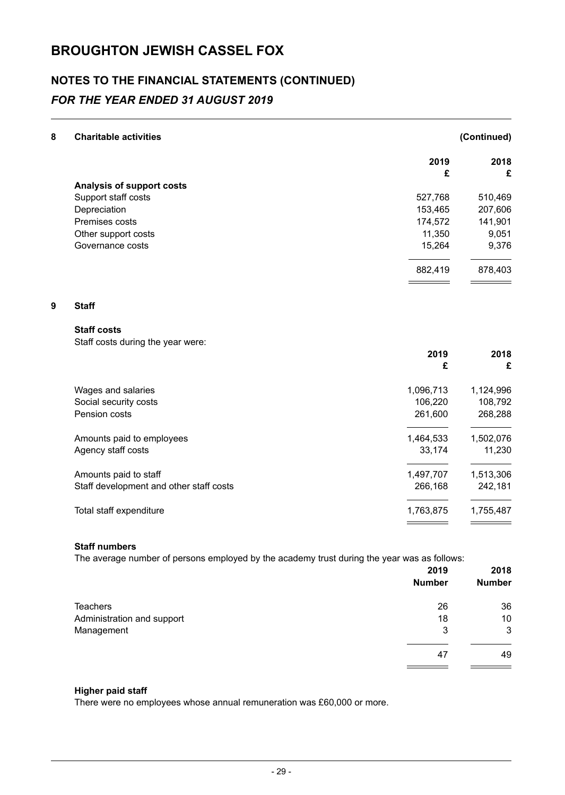## **NOTES TO THE FINANCIAL STATEMENTS (CONTINUED)** *FOR THE YEAR ENDED 31 AUGUST 2019*

|                                                                                                                                                                                                                                                                                                                                                                                                                            | (Continued)                                               |
|----------------------------------------------------------------------------------------------------------------------------------------------------------------------------------------------------------------------------------------------------------------------------------------------------------------------------------------------------------------------------------------------------------------------------|-----------------------------------------------------------|
| 2019                                                                                                                                                                                                                                                                                                                                                                                                                       | 2018<br>£                                                 |
|                                                                                                                                                                                                                                                                                                                                                                                                                            |                                                           |
|                                                                                                                                                                                                                                                                                                                                                                                                                            | 510,469                                                   |
|                                                                                                                                                                                                                                                                                                                                                                                                                            | 207,606                                                   |
|                                                                                                                                                                                                                                                                                                                                                                                                                            | 141,901                                                   |
|                                                                                                                                                                                                                                                                                                                                                                                                                            | 9,051                                                     |
| 15,264                                                                                                                                                                                                                                                                                                                                                                                                                     | 9,376                                                     |
| 882,419                                                                                                                                                                                                                                                                                                                                                                                                                    | 878,403                                                   |
|                                                                                                                                                                                                                                                                                                                                                                                                                            |                                                           |
|                                                                                                                                                                                                                                                                                                                                                                                                                            |                                                           |
|                                                                                                                                                                                                                                                                                                                                                                                                                            |                                                           |
|                                                                                                                                                                                                                                                                                                                                                                                                                            | 2018                                                      |
|                                                                                                                                                                                                                                                                                                                                                                                                                            | £                                                         |
| 1,096,713                                                                                                                                                                                                                                                                                                                                                                                                                  | 1,124,996                                                 |
| 106,220                                                                                                                                                                                                                                                                                                                                                                                                                    | 108,792                                                   |
| 261,600                                                                                                                                                                                                                                                                                                                                                                                                                    | 268,288                                                   |
| 1,464,533                                                                                                                                                                                                                                                                                                                                                                                                                  | 1,502,076                                                 |
| 33,174                                                                                                                                                                                                                                                                                                                                                                                                                     | 11,230                                                    |
| 1,497,707                                                                                                                                                                                                                                                                                                                                                                                                                  | 1,513,306                                                 |
| 266,168                                                                                                                                                                                                                                                                                                                                                                                                                    | 242,181                                                   |
| 1,763,875                                                                                                                                                                                                                                                                                                                                                                                                                  | 1,755,487                                                 |
| Analysis of support costs<br>Support staff costs<br>Depreciation<br>Premises costs<br>Other support costs<br>Governance costs<br><b>Staff</b><br><b>Staff costs</b><br>Staff costs during the year were:<br>Wages and salaries<br>Social security costs<br>Pension costs<br>Amounts paid to employees<br>Agency staff costs<br>Amounts paid to staff<br>Staff development and other staff costs<br>Total staff expenditure | £<br>527,768<br>153,465<br>174,572<br>11,350<br>2019<br>£ |

## **Staff numbers**

The average number of persons employed by the academy trust during the year was as follows:

|                            | 2019<br><b>Number</b> | 2018<br><b>Number</b> |
|----------------------------|-----------------------|-----------------------|
| <b>Teachers</b>            | 26                    | 36                    |
| Administration and support | 18                    | 10                    |
| Management                 | 3                     | 3                     |
|                            | 47                    | 49                    |
|                            |                       |                       |

## **Higher paid staff**

There were no employees whose annual remuneration was £60,000 or more.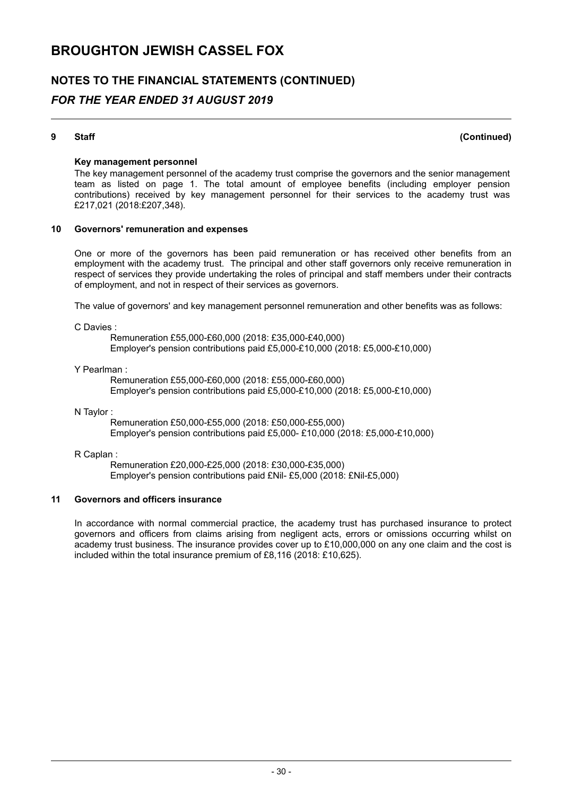## **NOTES TO THE FINANCIAL STATEMENTS (CONTINUED)** *FOR THE YEAR ENDED 31 AUGUST 2019*

**9 Staff (Continued)**

## **Key management personnel**

The key management personnel of the academy trust comprise the governors and the senior management team as listed on page 1. The total amount of employee benefits (including employer pension contributions) received by key management personnel for their services to the academy trust was £217,021 (2018:£207,348).

#### **10 Governors' remuneration and expenses**

One or more of the governors has been paid remuneration or has received other benefits from an employment with the academy trust. The principal and other staff governors only receive remuneration in respect of services they provide undertaking the roles of principal and staff members under their contracts of employment, and not in respect of their services as governors.

The value of governors' and key management personnel remuneration and other benefits was as follows:

C Davies :

Remuneration £55,000-£60,000 (2018: £35,000-£40,000) Employer's pension contributions paid £5,000-£10,000 (2018: £5,000-£10,000)

#### Y Pearlman :

Remuneration £55,000-£60,000 (2018: £55,000-£60,000) Employer's pension contributions paid £5,000-£10,000 (2018: £5,000-£10,000)

#### N Taylor :

Remuneration £50,000-£55,000 (2018: £50,000-£55,000) Employer's pension contributions paid £5,000- £10,000 (2018: £5,000-£10,000)

#### R Caplan :

Remuneration £20,000-£25,000 (2018: £30,000-£35,000) Employer's pension contributions paid £Nil- £5,000 (2018: £Nil-£5,000)

#### **11 Governors and officers insurance**

In accordance with normal commercial practice, the academy trust has purchased insurance to protect governors and officers from claims arising from negligent acts, errors or omissions occurring whilst on academy trust business. The insurance provides cover up to £10,000,000 on any one claim and the cost is included within the total insurance premium of £8,116 (2018: £10,625).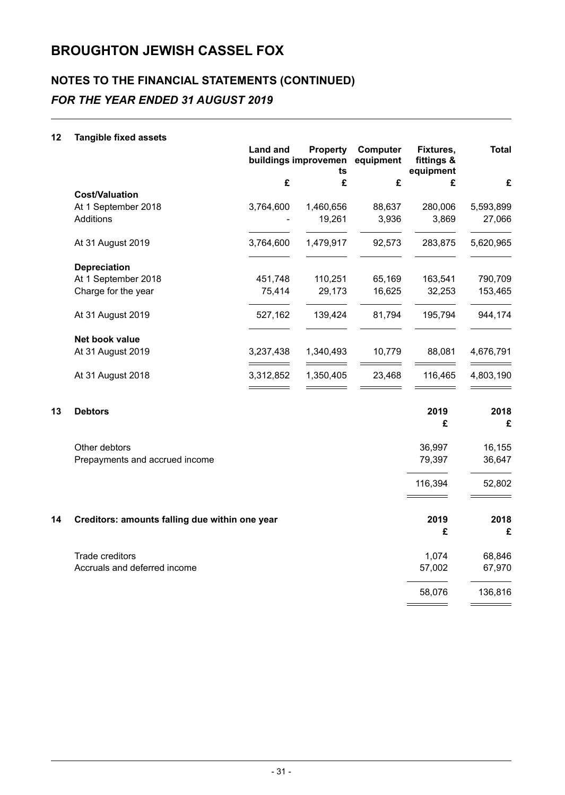# **NOTES TO THE FINANCIAL STATEMENTS (CONTINUED)** *FOR THE YEAR ENDED 31 AUGUST 2019*

## **12 Tangible fixed assets**

|                       | <b>Land and</b><br><b>Property</b><br>buildings improvemen<br>ts |           | <b>Computer</b><br>Fixtures,<br>fittings &<br>equipment<br>equipment |         | <b>Total</b> |
|-----------------------|------------------------------------------------------------------|-----------|----------------------------------------------------------------------|---------|--------------|
|                       | £                                                                | £         | £                                                                    | £       | £            |
| <b>Cost/Valuation</b> |                                                                  |           |                                                                      |         |              |
| At 1 September 2018   | 3,764,600                                                        | 1,460,656 | 88,637                                                               | 280,006 | 5,593,899    |
| Additions             |                                                                  | 19,261    | 3,936                                                                | 3,869   | 27,066       |
| At 31 August 2019     | 3,764,600                                                        | 1,479,917 | 92,573                                                               | 283,875 | 5,620,965    |
| <b>Depreciation</b>   |                                                                  |           |                                                                      |         |              |
| At 1 September 2018   | 451,748                                                          | 110,251   | 65,169                                                               | 163,541 | 790,709      |
| Charge for the year   | 75,414                                                           | 29,173    | 16,625                                                               | 32,253  | 153,465      |
| At 31 August 2019     | 527,162                                                          | 139,424   | 81,794                                                               | 195,794 | 944,174      |
| Net book value        |                                                                  |           |                                                                      |         |              |
| At 31 August 2019     | 3,237,438                                                        | 1,340,493 | 10,779                                                               | 88,081  | 4,676,791    |
| At 31 August 2018     | 3,312,852                                                        | 1,350,405 | 23,468                                                               | 116,465 | 4,803,190    |
|                       |                                                                  |           |                                                                      |         |              |

| 13 | <b>Debtors</b>                                 | 2019<br>£ | 2018<br>£ |
|----|------------------------------------------------|-----------|-----------|
|    | Other debtors                                  | 36,997    | 16,155    |
|    | Prepayments and accrued income                 | 79,397    | 36,647    |
|    |                                                | 116,394   | 52,802    |
| 14 | Creditors: amounts falling due within one year | 2019      | 2018      |
|    |                                                | £         | £         |
|    | Trade creditors                                | 1,074     | 68,846    |
|    | Accruals and deferred income                   | 57,002    | 67,970    |
|    |                                                | 58,076    | 136,816   |
|    |                                                |           |           |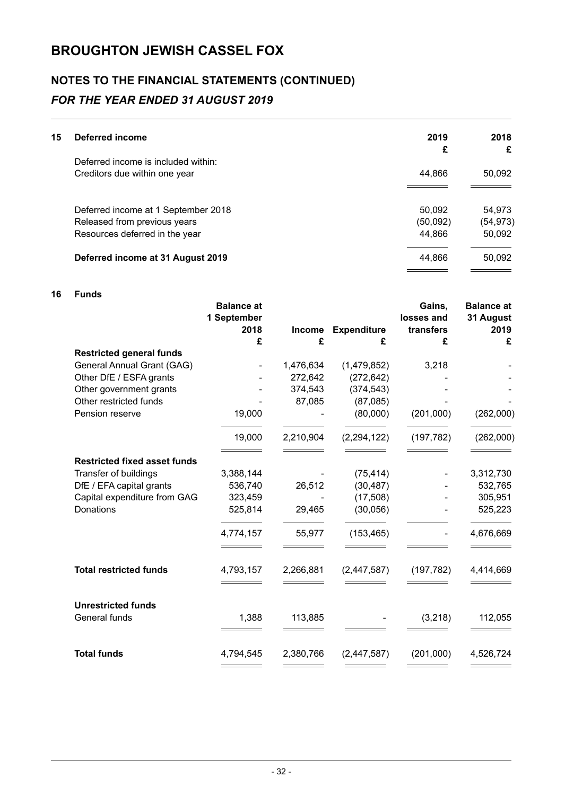# **NOTES TO THE FINANCIAL STATEMENTS (CONTINUED)** *FOR THE YEAR ENDED 31 AUGUST 2019*

| 15 | Deferred income                     | 2019     | 2018      |
|----|-------------------------------------|----------|-----------|
|    |                                     | £        | £         |
|    | Deferred income is included within: |          |           |
|    | Creditors due within one year       | 44,866   | 50,092    |
|    |                                     |          |           |
|    | Deferred income at 1 September 2018 | 50,092   | 54,973    |
|    | Released from previous years        | (50,092) | (54, 973) |
|    | Resources deferred in the year      | 44,866   | 50,092    |
|    | Deferred income at 31 August 2019   | 44,866   | 50,092    |

## **16 Funds**

|                                     | <b>Balance at</b><br>1 September<br>2018 | <b>Income</b> | <b>Expenditure</b> | Gains,<br>losses and<br>transfers | <b>Balance at</b><br>31 August<br>2019 |
|-------------------------------------|------------------------------------------|---------------|--------------------|-----------------------------------|----------------------------------------|
|                                     | £                                        | £             | £                  | £                                 | £                                      |
| <b>Restricted general funds</b>     |                                          |               |                    |                                   |                                        |
| General Annual Grant (GAG)          |                                          | 1,476,634     | (1,479,852)        | 3,218                             |                                        |
| Other DfE / ESFA grants             |                                          | 272,642       | (272, 642)         |                                   |                                        |
| Other government grants             |                                          | 374,543       | (374, 543)         |                                   |                                        |
| Other restricted funds              |                                          | 87,085        | (87,085)           |                                   |                                        |
| Pension reserve                     | 19,000                                   |               | (80,000)           | (201,000)                         | (262,000)                              |
|                                     | 19,000                                   | 2,210,904     | (2, 294, 122)      | (197, 782)                        | (262,000)                              |
| <b>Restricted fixed asset funds</b> |                                          |               |                    |                                   |                                        |
| Transfer of buildings               | 3,388,144                                |               | (75, 414)          |                                   | 3,312,730                              |
| DfE / EFA capital grants            | 536,740                                  | 26,512        | (30, 487)          |                                   | 532,765                                |
| Capital expenditure from GAG        | 323,459                                  |               | (17, 508)          |                                   | 305,951                                |
| Donations                           | 525,814                                  | 29,465        | (30,056)           |                                   | 525,223                                |
|                                     | 4,774,157                                | 55,977        | (153, 465)         |                                   | 4,676,669                              |
| <b>Total restricted funds</b>       | 4,793,157                                | 2,266,881     | (2,447,587)        | (197, 782)                        | 4,414,669                              |
| <b>Unrestricted funds</b>           |                                          |               |                    |                                   |                                        |
| General funds                       | 1,388                                    | 113,885       |                    | (3,218)                           | 112,055                                |
|                                     |                                          |               |                    |                                   |                                        |
| <b>Total funds</b>                  | 4,794,545                                | 2,380,766     | (2, 447, 587)      | (201,000)                         | 4,526,724                              |
|                                     |                                          |               |                    |                                   |                                        |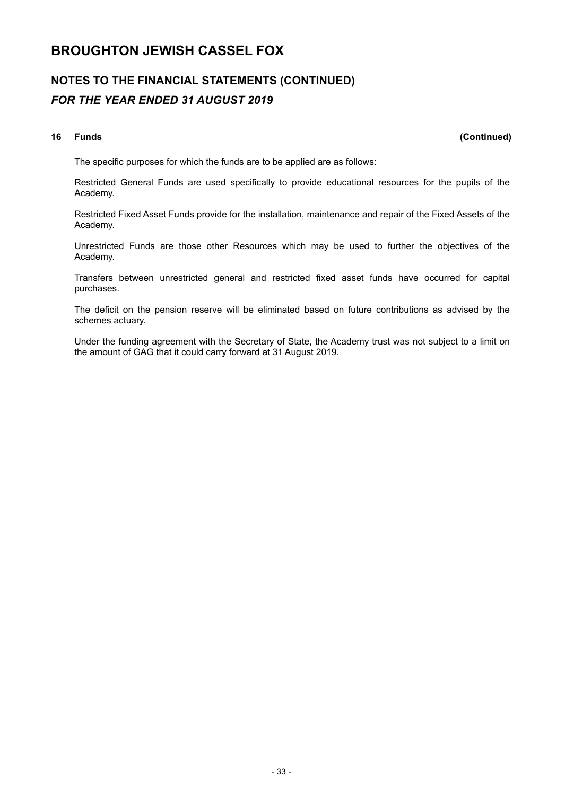# **NOTES TO THE FINANCIAL STATEMENTS (CONTINUED)** *FOR THE YEAR ENDED 31 AUGUST 2019*

## **16 Funds (Continued)**

The specific purposes for which the funds are to be applied are as follows:

Restricted General Funds are used specifically to provide educational resources for the pupils of the Academy.

Restricted Fixed Asset Funds provide for the installation, maintenance and repair of the Fixed Assets of the Academy.

Unrestricted Funds are those other Resources which may be used to further the objectives of the Academy.

Transfers between unrestricted general and restricted fixed asset funds have occurred for capital purchases.

The deficit on the pension reserve will be eliminated based on future contributions as advised by the schemes actuary.

Under the funding agreement with the Secretary of State, the Academy trust was not subject to a limit on the amount of GAG that it could carry forward at 31 August 2019.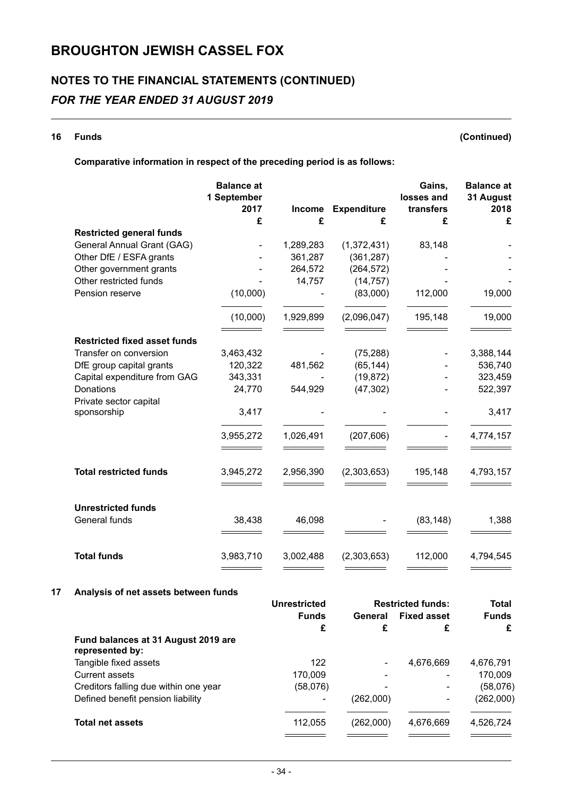# **NOTES TO THE FINANCIAL STATEMENTS (CONTINUED)** *FOR THE YEAR ENDED 31 AUGUST 2019*

**16 Funds (Continued)**

## **Comparative information in respect of the preceding period is as follows:**

|                                     | <b>Balance at</b><br>1 September |             |                         | Gains,<br>losses and | <b>Balance</b> at<br>31 August |
|-------------------------------------|----------------------------------|-------------|-------------------------|----------------------|--------------------------------|
|                                     | 2017<br>£                        | Income<br>£ | <b>Expenditure</b><br>£ | transfers<br>£       | 2018<br>£                      |
| <b>Restricted general funds</b>     |                                  |             |                         |                      |                                |
| General Annual Grant (GAG)          |                                  | 1,289,283   | (1,372,431)             | 83,148               |                                |
| Other DfE / ESFA grants             |                                  | 361,287     | (361, 287)              |                      |                                |
| Other government grants             |                                  | 264,572     | (264, 572)              |                      |                                |
| Other restricted funds              |                                  | 14,757      | (14, 757)               |                      |                                |
| Pension reserve                     | (10,000)                         |             | (83,000)                | 112,000              | 19,000                         |
|                                     | (10,000)                         | 1,929,899   | (2,096,047)             | 195,148              | 19,000                         |
| <b>Restricted fixed asset funds</b> |                                  |             |                         |                      |                                |
| Transfer on conversion              | 3,463,432                        |             | (75, 288)               |                      | 3,388,144                      |
| DfE group capital grants            | 120,322                          | 481,562     | (65, 144)               |                      | 536,740                        |
| Capital expenditure from GAG        | 343,331                          |             | (19, 872)               |                      | 323,459                        |
| Donations<br>Private sector capital | 24,770                           | 544,929     | (47, 302)               |                      | 522,397                        |
| sponsorship                         | 3,417                            |             |                         |                      | 3,417                          |
|                                     | 3,955,272                        | 1,026,491   | (207, 606)              |                      | 4,774,157                      |
|                                     |                                  |             |                         |                      |                                |
| <b>Total restricted funds</b>       | 3,945,272                        | 2,956,390   | (2,303,653)             | 195,148              | 4,793,157                      |
| <b>Unrestricted funds</b>           |                                  |             |                         |                      |                                |
| General funds                       | 38,438                           | 46,098      |                         | (83, 148)            | 1,388                          |
| <b>Total funds</b>                  | 3,983,710                        | 3,002,488   | (2,303,653)             | 112,000              | 4,794,545                      |

## **17 Analysis of net assets between funds**

|                                                        | Unrestricted | <b>Restricted funds:</b> |                    | <b>Total</b> |  |
|--------------------------------------------------------|--------------|--------------------------|--------------------|--------------|--|
|                                                        | <b>Funds</b> | General                  | <b>Fixed asset</b> | <b>Funds</b> |  |
|                                                        | £            | £                        | £                  | £            |  |
| Fund balances at 31 August 2019 are<br>represented by: |              |                          |                    |              |  |
| Tangible fixed assets                                  | 122          | ۰                        | 4,676,669          | 4,676,791    |  |
| Current assets                                         | 170.009      |                          |                    | 170,009      |  |
| Creditors falling due within one year                  | (58,076)     |                          |                    | (58,076)     |  |
| Defined benefit pension liability                      |              | (262,000)                |                    | (262,000)    |  |
| <b>Total net assets</b>                                | 112,055      | (262,000)                | 4,676,669          | 4,526,724    |  |
|                                                        |              |                          |                    |              |  |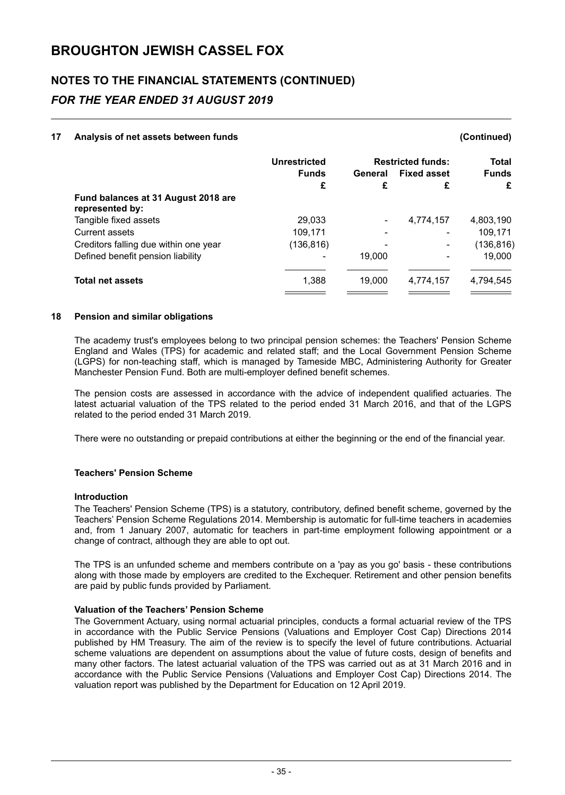# **NOTES TO THE FINANCIAL STATEMENTS (CONTINUED)** *FOR THE YEAR ENDED 31 AUGUST 2019*

### **17 Analysis of net assets between funds (Continued)**

## **Unrestricted Restricted funds: Total Funds General Fixed asset Funds £ £ £ £ Fund balances at 31 August 2018 are represented by:** Tangible fixed assets 29,033 - 4,774,157 4,803,190 Current assets 109,171 - 109,171 - 109,171 Creditors falling due within one year (136,816) - The discreption of the control of the control of the control of the control of the control of the control of the control of the control of the control of the control of the Defined benefit pension liability and the contract of the contract of the 19,000 and 19,000 of the 19,000 of the 19,000 of the 19,000 of the 19,000 of the 19,000 of the 19,000 of the 19,000 of the 19,000 of the 19,000 of t **Total net assets** 1,388 19,000 4,774,157 4,794,545

#### **18 Pension and similar obligations**

The academy trust's employees belong to two principal pension schemes: the Teachers' Pension Scheme England and Wales (TPS) for academic and related staff; and the Local Government Pension Scheme (LGPS) for non-teaching staff, which is managed by Tameside MBC, Administering Authority for Greater Manchester Pension Fund. Both are multi-employer defined benefit schemes.

The pension costs are assessed in accordance with the advice of independent qualified actuaries. The latest actuarial valuation of the TPS related to the period ended 31 March 2016, and that of the LGPS related to the period ended 31 March 2019.

There were no outstanding or prepaid contributions at either the beginning or the end of the financial year.

## **Teachers' Pension Scheme**

#### **Introduction**

The Teachers' Pension Scheme (TPS) is a statutory, contributory, defined benefit scheme, governed by the Teachers' Pension Scheme Regulations 2014. Membership is automatic for full-time teachers in academies and, from 1 January 2007, automatic for teachers in part-time employment following appointment or a change of contract, although they are able to opt out.

The TPS is an unfunded scheme and members contribute on a 'pay as you go' basis - these contributions along with those made by employers are credited to the Exchequer. Retirement and other pension benefits are paid by public funds provided by Parliament.

#### **Valuation of the Teachers' Pension Scheme**

The Government Actuary, using normal actuarial principles, conducts a formal actuarial review of the TPS in accordance with the Public Service Pensions (Valuations and Employer Cost Cap) Directions 2014 published by HM Treasury. The aim of the review is to specify the level of future contributions. Actuarial scheme valuations are dependent on assumptions about the value of future costs, design of benefits and many other factors. The latest actuarial valuation of the TPS was carried out as at 31 March 2016 and in accordance with the Public Service Pensions (Valuations and Employer Cost Cap) Directions 2014. The valuation report was published by the Department for Education on 12 April 2019.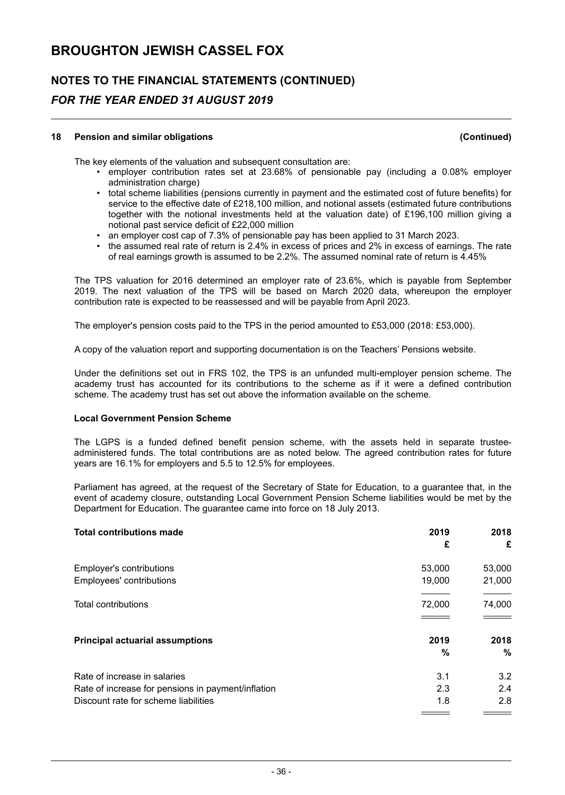# **NOTES TO THE FINANCIAL STATEMENTS (CONTINUED)** *FOR THE YEAR ENDED 31 AUGUST 2019*

#### **18 Pension and similar obligations (Continued)**

The key elements of the valuation and subsequent consultation are:

- employer contribution rates set at 23.68% of pensionable pay (including a 0.08% employer administration charge)
- total scheme liabilities (pensions currently in payment and the estimated cost of future benefits) for service to the effective date of £218,100 million, and notional assets (estimated future contributions together with the notional investments held at the valuation date) of £196,100 million giving a notional past service deficit of £22,000 million
- an employer cost cap of 7.3% of pensionable pay has been applied to 31 March 2023.
- the assumed real rate of return is 2.4% in excess of prices and 2% in excess of earnings. The rate of real earnings growth is assumed to be 2.2%. The assumed nominal rate of return is 4.45%

The TPS valuation for 2016 determined an employer rate of 23.6%, which is payable from September 2019. The next valuation of the TPS will be based on March 2020 data, whereupon the employer contribution rate is expected to be reassessed and will be payable from April 2023.

The employer's pension costs paid to the TPS in the period amounted to £53,000 (2018: £53,000).

A copy of the valuation report and supporting documentation is on the Teachers' Pensions website.

Under the definitions set out in FRS 102, the TPS is an unfunded multi-employer pension scheme. The academy trust has accounted for its contributions to the scheme as if it were a defined contribution scheme. The academy trust has set out above the information available on the scheme.

#### **Local Government Pension Scheme**

The LGPS is a funded defined benefit pension scheme, with the assets held in separate trusteeadministered funds. The total contributions are as noted below. The agreed contribution rates for future years are 16.1% for employers and 5.5 to 12.5% for employees.

Parliament has agreed, at the request of the Secretary of State for Education, to a guarantee that, in the event of academy closure, outstanding Local Government Pension Scheme liabilities would be met by the Department for Education. The guarantee came into force on 18 July 2013.

| <b>Total contributions made</b>                    | 2019   | 2018   |
|----------------------------------------------------|--------|--------|
|                                                    | £      | £      |
| Employer's contributions                           | 53,000 | 53,000 |
| Employees' contributions                           | 19,000 | 21,000 |
|                                                    |        |        |
| <b>Total contributions</b>                         | 72,000 | 74,000 |
|                                                    |        |        |
| <b>Principal actuarial assumptions</b>             | 2019   | 2018   |
|                                                    | $\%$   | $\%$   |
| Rate of increase in salaries                       | 3.1    | 3.2    |
| Rate of increase for pensions in payment/inflation | 2.3    | 2.4    |
| Discount rate for scheme liabilities               | 1.8    | 2.8    |
|                                                    |        |        |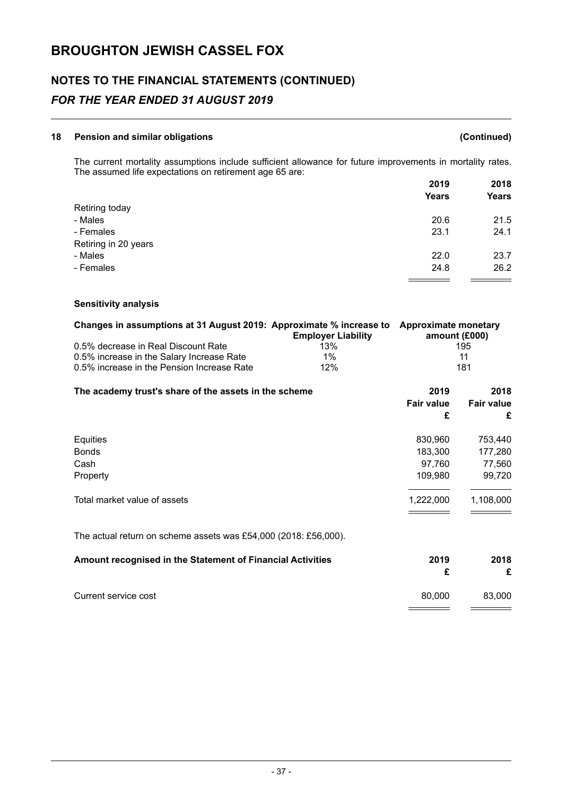# **NOTES TO THE FINANCIAL STATEMENTS (CONTINUED)** *FOR THE YEAR ENDED 31 AUGUST 2019*

## **18 Pension and similar obligations (Continued)**

The current mortality assumptions include sufficient allowance for future improvements in mortality rates. The assumed life expectations on retirement age 65 are: **2019 2018**

|                      | 2019         | ZUIO<br>Years |
|----------------------|--------------|---------------|
|                      | <b>Years</b> |               |
| Retiring today       |              |               |
| - Males              | 20.6         | 21.5          |
| - Females            | 23.1         | 24.1          |
| Retiring in 20 years |              |               |
| - Males              | 22.0         | 23.7          |
| - Females            | 24.8         | 26.2          |
|                      |              |               |

## **Sensitivity analysis**

| Changes in assumptions at 31 August 2019: Approximate % increase to | <b>Employer Liability</b> | Approximate monetary<br>amount $(E000)$ |
|---------------------------------------------------------------------|---------------------------|-----------------------------------------|
|                                                                     |                           |                                         |
| 0.5% decrease in Real Discount Rate                                 | 13%                       | 195                                     |
| 0.5% increase in the Salary Increase Rate                           | $1\%$                     | 11                                      |
| 0.5% increase in the Pension Increase Rate                          | 12%                       | 181                                     |

| The academy trust's share of the assets in the scheme | 2019              | 2018              |
|-------------------------------------------------------|-------------------|-------------------|
|                                                       | <b>Fair value</b> | <b>Fair value</b> |
|                                                       | £                 | £                 |
| Equities                                              | 830,960           | 753,440           |
| <b>Bonds</b>                                          | 183,300           | 177,280           |
| Cash                                                  | 97,760            | 77,560            |
| Property                                              | 109,980           | 99,720            |
| Total market value of assets                          | 1,222,000         | 1,108,000         |
|                                                       |                   |                   |

The actual return on scheme assets was £54,000 (2018: £56,000).

| Amount recognised in the Statement of Financial Activities | 2019   | 2018<br>£ |
|------------------------------------------------------------|--------|-----------|
| Current service cost                                       | 80.000 | 83.000    |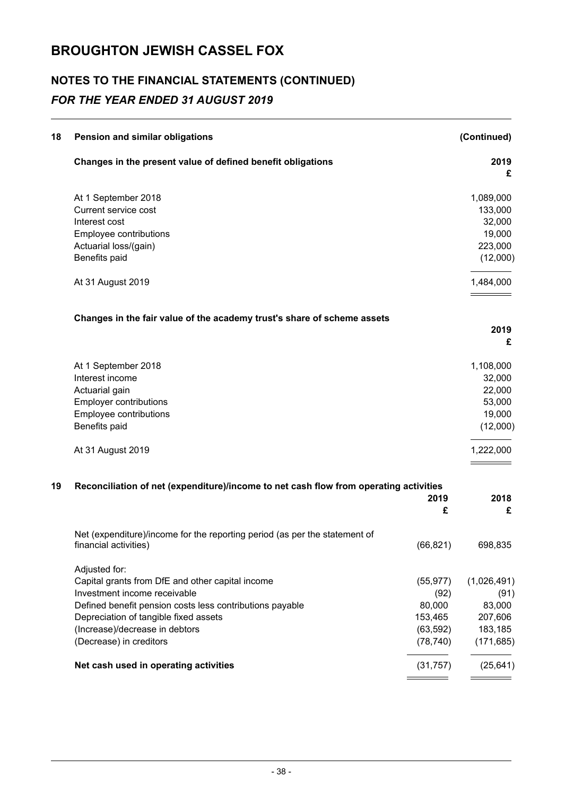# **NOTES TO THE FINANCIAL STATEMENTS (CONTINUED)** *FOR THE YEAR ENDED 31 AUGUST 2019*

| 18 | Pension and similar obligations                                                                     |                        | (Continued)           |
|----|-----------------------------------------------------------------------------------------------------|------------------------|-----------------------|
|    | Changes in the present value of defined benefit obligations                                         |                        | 2019<br>£             |
|    | At 1 September 2018                                                                                 |                        | 1,089,000             |
|    | Current service cost                                                                                |                        | 133,000               |
|    | Interest cost                                                                                       |                        | 32,000                |
|    | Employee contributions                                                                              |                        | 19,000                |
|    | Actuarial loss/(gain)                                                                               |                        | 223,000               |
|    | Benefits paid                                                                                       |                        | (12,000)              |
|    | At 31 August 2019                                                                                   |                        | 1,484,000             |
|    | Changes in the fair value of the academy trust's share of scheme assets                             |                        |                       |
|    |                                                                                                     |                        | 2019                  |
|    |                                                                                                     |                        | £                     |
|    | At 1 September 2018                                                                                 |                        | 1,108,000             |
|    | Interest income                                                                                     |                        | 32,000                |
|    | Actuarial gain                                                                                      |                        | 22,000                |
|    | <b>Employer contributions</b>                                                                       |                        | 53,000                |
|    | Employee contributions                                                                              |                        | 19,000                |
|    | Benefits paid                                                                                       |                        | (12,000)              |
|    | At 31 August 2019                                                                                   |                        | 1,222,000             |
| 19 | Reconciliation of net (expenditure)/income to net cash flow from operating activities               |                        |                       |
|    |                                                                                                     | 2019<br>£              | 2018<br>£             |
|    |                                                                                                     |                        |                       |
|    | Net (expenditure)/income for the reporting period (as per the statement of<br>financial activities) | (66, 821)              | 698,835               |
|    | Adjusted for:                                                                                       |                        |                       |
|    | Capital grants from DfE and other capital income                                                    | (55, 977)              | (1,026,491)           |
|    | Investment income receivable                                                                        | (92)                   | (91)                  |
|    | Defined benefit pension costs less contributions payable                                            | 80,000                 | 83,000                |
|    | Depreciation of tangible fixed assets                                                               | 153,465                | 207,606               |
|    | (Increase)/decrease in debtors<br>(Decrease) in creditors                                           | (63, 592)<br>(78, 740) | 183,185<br>(171, 685) |
|    |                                                                                                     |                        |                       |
|    | Net cash used in operating activities                                                               | (31, 757)              | (25, 641)             |
|    |                                                                                                     |                        |                       |